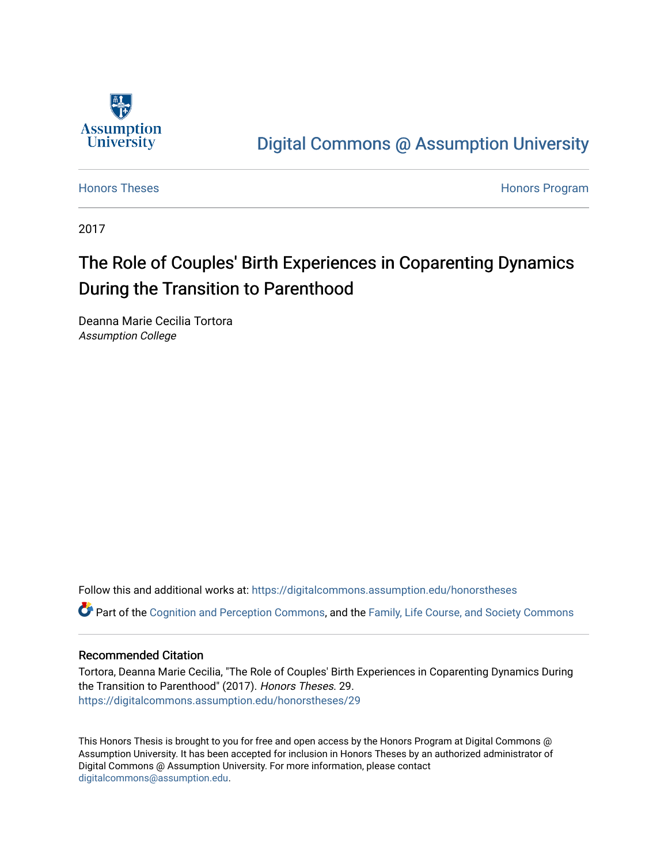

## [Digital Commons @ Assumption University](https://digitalcommons.assumption.edu/)

[Honors Theses](https://digitalcommons.assumption.edu/honorstheses) **Honors** Program

2017

# The Role of Couples' Birth Experiences in Coparenting Dynamics During the Transition to Parenthood

Deanna Marie Cecilia Tortora Assumption College

Follow this and additional works at: [https://digitalcommons.assumption.edu/honorstheses](https://digitalcommons.assumption.edu/honorstheses?utm_source=digitalcommons.assumption.edu%2Fhonorstheses%2F29&utm_medium=PDF&utm_campaign=PDFCoverPages)

Part of the [Cognition and Perception Commons,](http://network.bepress.com/hgg/discipline/407?utm_source=digitalcommons.assumption.edu%2Fhonorstheses%2F29&utm_medium=PDF&utm_campaign=PDFCoverPages) and the [Family, Life Course, and Society Commons](http://network.bepress.com/hgg/discipline/419?utm_source=digitalcommons.assumption.edu%2Fhonorstheses%2F29&utm_medium=PDF&utm_campaign=PDFCoverPages)

## Recommended Citation

Tortora, Deanna Marie Cecilia, "The Role of Couples' Birth Experiences in Coparenting Dynamics During the Transition to Parenthood" (2017). Honors Theses. 29. [https://digitalcommons.assumption.edu/honorstheses/29](https://digitalcommons.assumption.edu/honorstheses/29?utm_source=digitalcommons.assumption.edu%2Fhonorstheses%2F29&utm_medium=PDF&utm_campaign=PDFCoverPages) 

This Honors Thesis is brought to you for free and open access by the Honors Program at Digital Commons @ Assumption University. It has been accepted for inclusion in Honors Theses by an authorized administrator of Digital Commons @ Assumption University. For more information, please contact [digitalcommons@assumption.edu](mailto:digitalcommons@assumption.edu).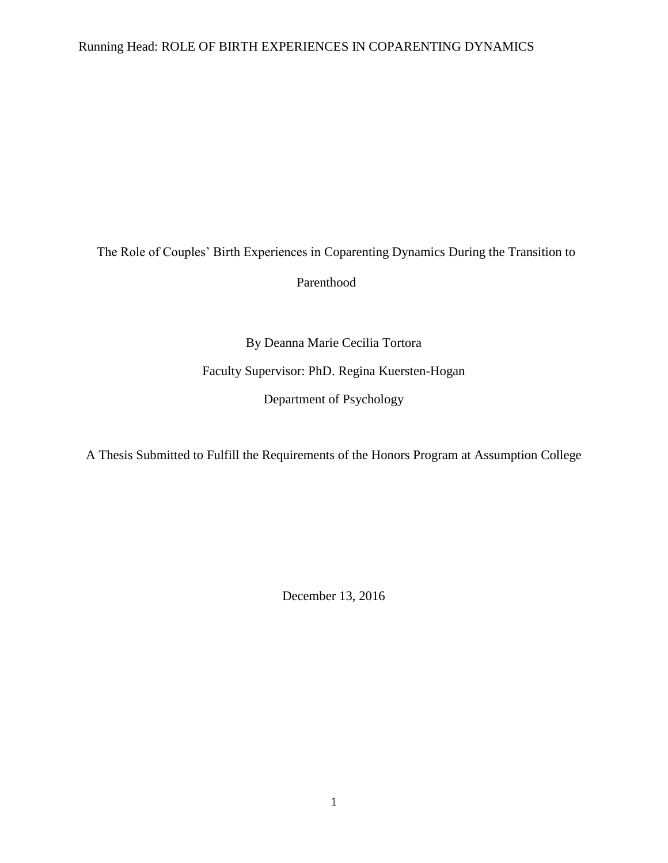The Role of Couples' Birth Experiences in Coparenting Dynamics During the Transition to

Parenthood

By Deanna Marie Cecilia Tortora Faculty Supervisor: PhD. Regina Kuersten-Hogan Department of Psychology

A Thesis Submitted to Fulfill the Requirements of the Honors Program at Assumption College

December 13, 2016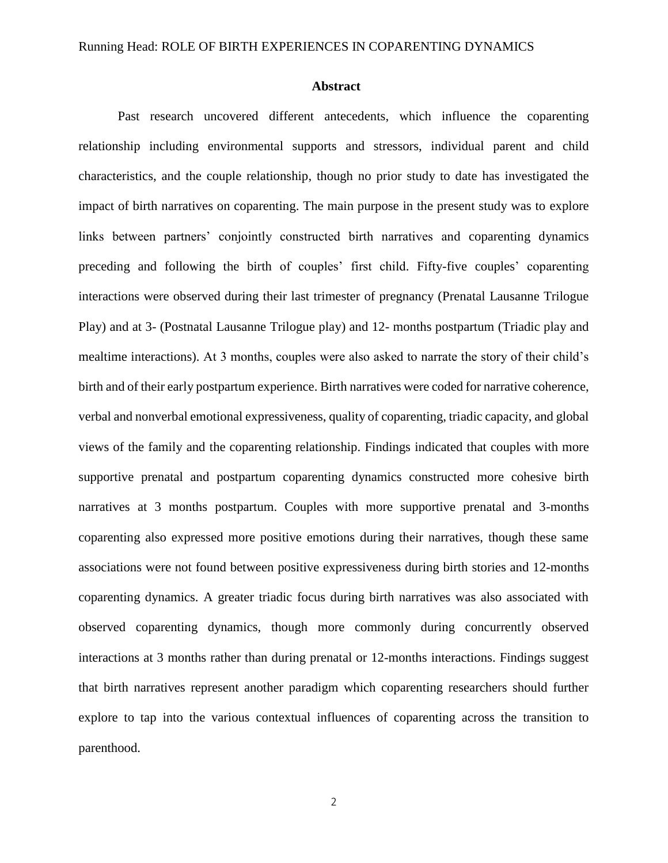### **Abstract**

Past research uncovered different antecedents, which influence the coparenting relationship including environmental supports and stressors, individual parent and child characteristics, and the couple relationship, though no prior study to date has investigated the impact of birth narratives on coparenting. The main purpose in the present study was to explore links between partners' conjointly constructed birth narratives and coparenting dynamics preceding and following the birth of couples' first child. Fifty-five couples' coparenting interactions were observed during their last trimester of pregnancy (Prenatal Lausanne Trilogue Play) and at 3- (Postnatal Lausanne Trilogue play) and 12- months postpartum (Triadic play and mealtime interactions). At 3 months, couples were also asked to narrate the story of their child's birth and of their early postpartum experience. Birth narratives were coded for narrative coherence, verbal and nonverbal emotional expressiveness, quality of coparenting, triadic capacity, and global views of the family and the coparenting relationship. Findings indicated that couples with more supportive prenatal and postpartum coparenting dynamics constructed more cohesive birth narratives at 3 months postpartum. Couples with more supportive prenatal and 3-months coparenting also expressed more positive emotions during their narratives, though these same associations were not found between positive expressiveness during birth stories and 12-months coparenting dynamics. A greater triadic focus during birth narratives was also associated with observed coparenting dynamics, though more commonly during concurrently observed interactions at 3 months rather than during prenatal or 12-months interactions. Findings suggest that birth narratives represent another paradigm which coparenting researchers should further explore to tap into the various contextual influences of coparenting across the transition to parenthood.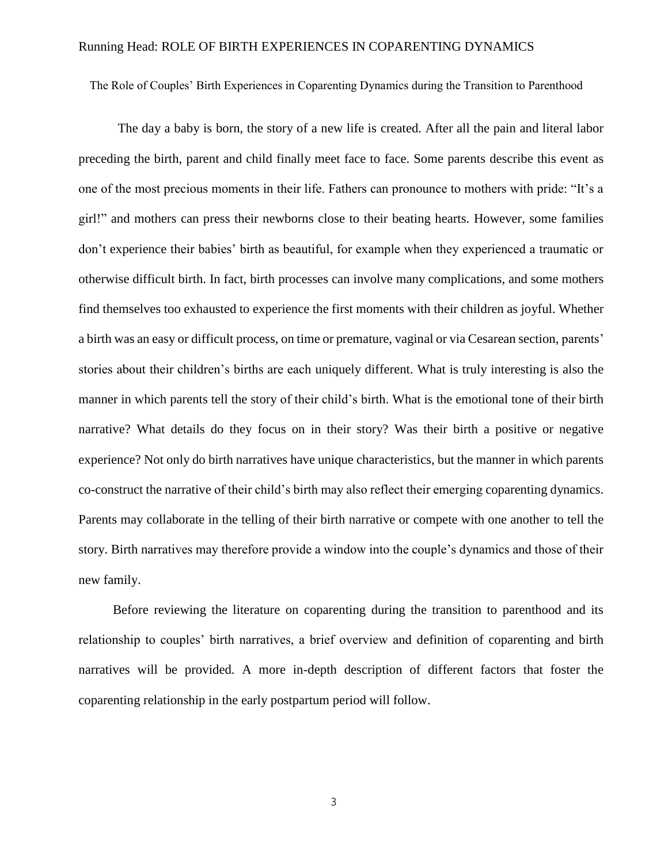The Role of Couples' Birth Experiences in Coparenting Dynamics during the Transition to Parenthood

The day a baby is born, the story of a new life is created. After all the pain and literal labor preceding the birth, parent and child finally meet face to face. Some parents describe this event as one of the most precious moments in their life. Fathers can pronounce to mothers with pride: "It's a girl!" and mothers can press their newborns close to their beating hearts. However, some families don't experience their babies' birth as beautiful, for example when they experienced a traumatic or otherwise difficult birth. In fact, birth processes can involve many complications, and some mothers find themselves too exhausted to experience the first moments with their children as joyful. Whether a birth was an easy or difficult process, on time or premature, vaginal or via Cesarean section, parents' stories about their children's births are each uniquely different. What is truly interesting is also the manner in which parents tell the story of their child's birth. What is the emotional tone of their birth narrative? What details do they focus on in their story? Was their birth a positive or negative experience? Not only do birth narratives have unique characteristics, but the manner in which parents co-construct the narrative of their child's birth may also reflect their emerging coparenting dynamics. Parents may collaborate in the telling of their birth narrative or compete with one another to tell the story. Birth narratives may therefore provide a window into the couple's dynamics and those of their new family.

Before reviewing the literature on coparenting during the transition to parenthood and its relationship to couples' birth narratives, a brief overview and definition of coparenting and birth narratives will be provided. A more in-depth description of different factors that foster the coparenting relationship in the early postpartum period will follow.

3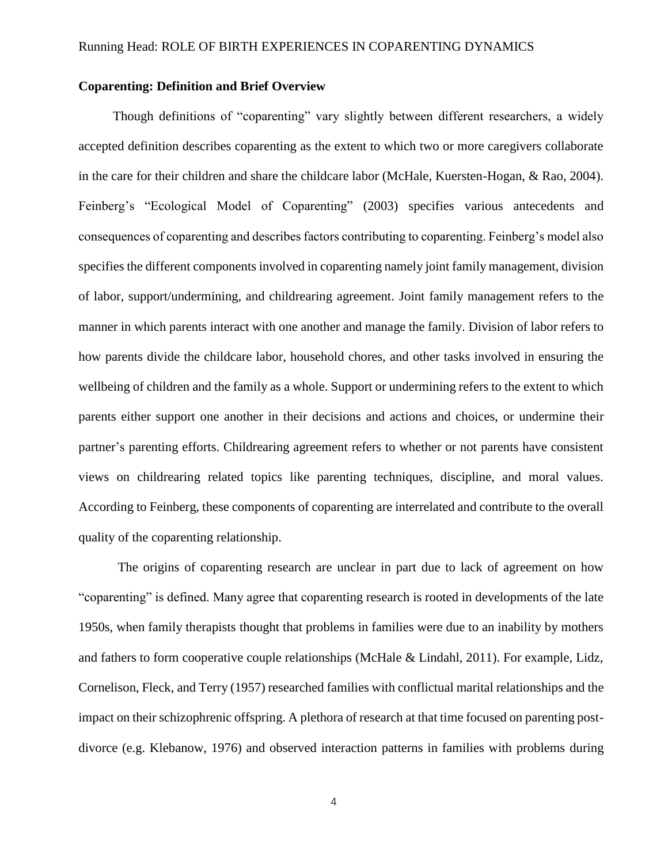## **Coparenting: Definition and Brief Overview**

Though definitions of "coparenting" vary slightly between different researchers, a widely accepted definition describes coparenting as the extent to which two or more caregivers collaborate in the care for their children and share the childcare labor (McHale, Kuersten-Hogan, & Rao, 2004). Feinberg's "Ecological Model of Coparenting" (2003) specifies various antecedents and consequences of coparenting and describes factors contributing to coparenting. Feinberg's model also specifies the different components involved in coparenting namely joint family management, division of labor, support/undermining, and childrearing agreement. Joint family management refers to the manner in which parents interact with one another and manage the family. Division of labor refers to how parents divide the childcare labor, household chores, and other tasks involved in ensuring the wellbeing of children and the family as a whole. Support or undermining refers to the extent to which parents either support one another in their decisions and actions and choices, or undermine their partner's parenting efforts. Childrearing agreement refers to whether or not parents have consistent views on childrearing related topics like parenting techniques, discipline, and moral values. According to Feinberg, these components of coparenting are interrelated and contribute to the overall quality of the coparenting relationship.

The origins of coparenting research are unclear in part due to lack of agreement on how "coparenting" is defined. Many agree that coparenting research is rooted in developments of the late 1950s, when family therapists thought that problems in families were due to an inability by mothers and fathers to form cooperative couple relationships (McHale & Lindahl, 2011). For example, Lidz, Cornelison, Fleck, and Terry (1957) researched families with conflictual marital relationships and the impact on their schizophrenic offspring. A plethora of research at that time focused on parenting postdivorce (e.g. Klebanow, 1976) and observed interaction patterns in families with problems during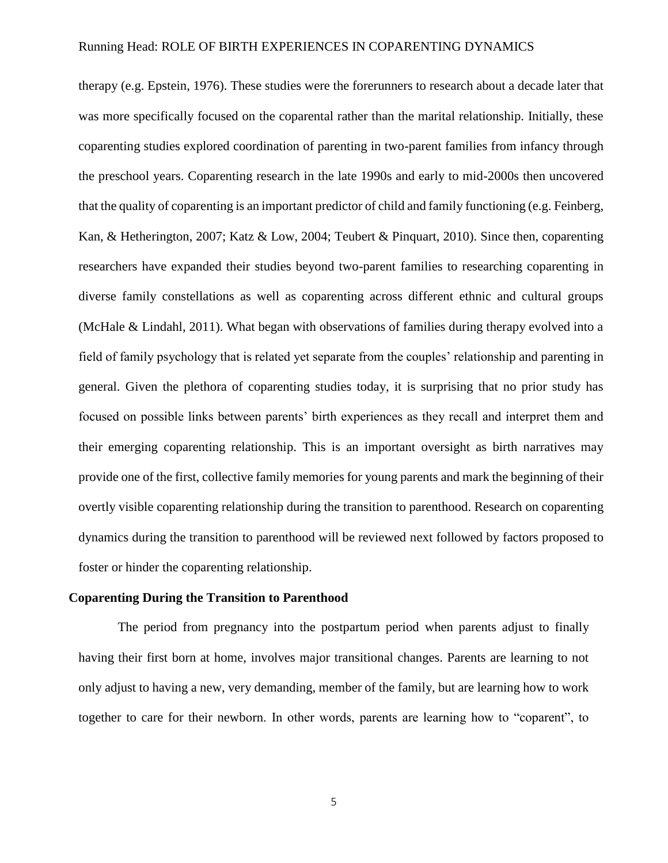therapy (e.g. Epstein, 1976). These studies were the forerunners to research about a decade later that was more specifically focused on the coparental rather than the marital relationship. Initially, these coparenting studies explored coordination of parenting in two-parent families from infancy through the preschool years. Coparenting research in the late 1990s and early to mid-2000s then uncovered that the quality of coparenting is an important predictor of child and family functioning (e.g. Feinberg, Kan, & Hetherington, 2007; Katz & Low, 2004; Teubert & Pinquart, 2010). Since then, coparenting researchers have expanded their studies beyond two-parent families to researching coparenting in diverse family constellations as well as coparenting across different ethnic and cultural groups (McHale & Lindahl, 2011). What began with observations of families during therapy evolved into a field of family psychology that is related yet separate from the couples' relationship and parenting in general. Given the plethora of coparenting studies today, it is surprising that no prior study has focused on possible links between parents' birth experiences as they recall and interpret them and their emerging coparenting relationship. This is an important oversight as birth narratives may provide one of the first, collective family memories for young parents and mark the beginning of their overtly visible coparenting relationship during the transition to parenthood. Research on coparenting dynamics during the transition to parenthood will be reviewed next followed by factors proposed to foster or hinder the coparenting relationship.

#### **Coparenting During the Transition to Parenthood**

The period from pregnancy into the postpartum period when parents adjust to finally having their first born at home, involves major transitional changes. Parents are learning to not only adjust to having a new, very demanding, member of the family, but are learning how to work together to care for their newborn. In other words, parents are learning how to "coparent", to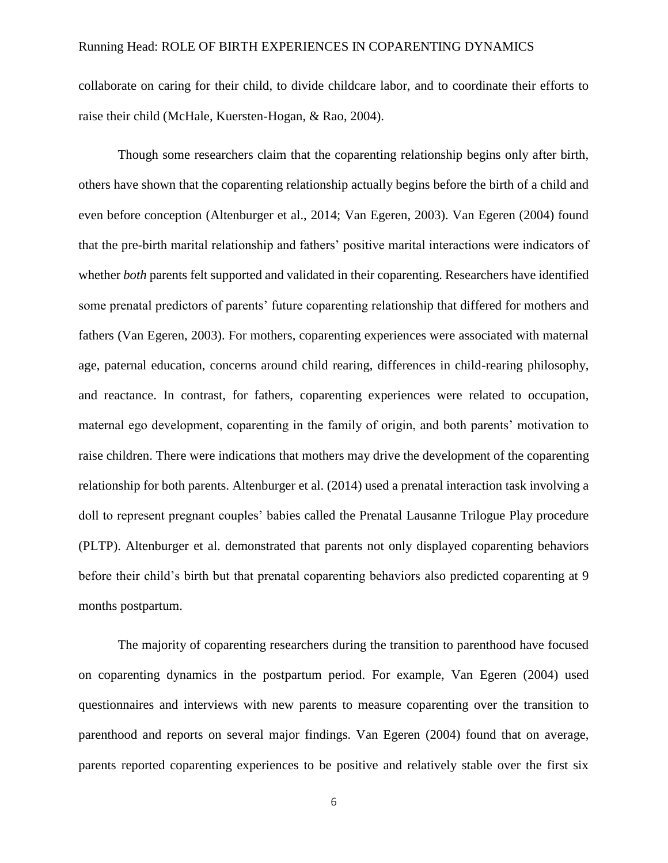collaborate on caring for their child, to divide childcare labor, and to coordinate their efforts to raise their child (McHale, Kuersten-Hogan, & Rao, 2004).

Though some researchers claim that the coparenting relationship begins only after birth, others have shown that the coparenting relationship actually begins before the birth of a child and even before conception (Altenburger et al., 2014; Van Egeren, 2003). Van Egeren (2004) found that the pre-birth marital relationship and fathers' positive marital interactions were indicators of whether *both* parents felt supported and validated in their coparenting. Researchers have identified some prenatal predictors of parents' future coparenting relationship that differed for mothers and fathers (Van Egeren, 2003). For mothers, coparenting experiences were associated with maternal age, paternal education, concerns around child rearing, differences in child-rearing philosophy, and reactance. In contrast, for fathers, coparenting experiences were related to occupation, maternal ego development, coparenting in the family of origin, and both parents' motivation to raise children. There were indications that mothers may drive the development of the coparenting relationship for both parents. Altenburger et al. (2014) used a prenatal interaction task involving a doll to represent pregnant couples' babies called the Prenatal Lausanne Trilogue Play procedure (PLTP). Altenburger et al. demonstrated that parents not only displayed coparenting behaviors before their child's birth but that prenatal coparenting behaviors also predicted coparenting at 9 months postpartum.

The majority of coparenting researchers during the transition to parenthood have focused on coparenting dynamics in the postpartum period. For example, Van Egeren (2004) used questionnaires and interviews with new parents to measure coparenting over the transition to parenthood and reports on several major findings. Van Egeren (2004) found that on average, parents reported coparenting experiences to be positive and relatively stable over the first six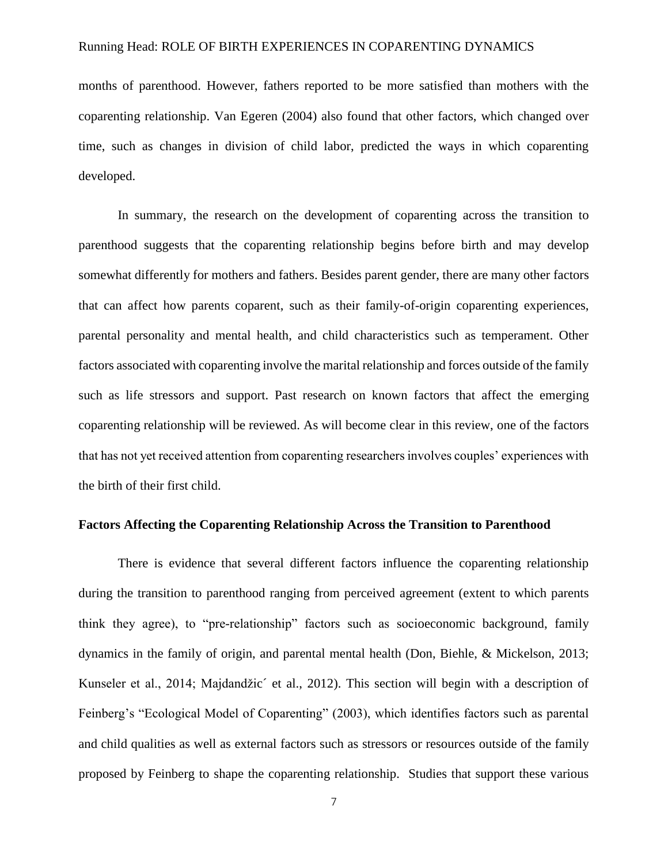months of parenthood. However, fathers reported to be more satisfied than mothers with the coparenting relationship. Van Egeren (2004) also found that other factors, which changed over time, such as changes in division of child labor, predicted the ways in which coparenting developed.

In summary, the research on the development of coparenting across the transition to parenthood suggests that the coparenting relationship begins before birth and may develop somewhat differently for mothers and fathers. Besides parent gender, there are many other factors that can affect how parents coparent, such as their family-of-origin coparenting experiences, parental personality and mental health, and child characteristics such as temperament. Other factors associated with coparenting involve the marital relationship and forces outside of the family such as life stressors and support. Past research on known factors that affect the emerging coparenting relationship will be reviewed. As will become clear in this review, one of the factors that has not yet received attention from coparenting researchers involves couples' experiences with the birth of their first child.

#### **Factors Affecting the Coparenting Relationship Across the Transition to Parenthood**

There is evidence that several different factors influence the coparenting relationship during the transition to parenthood ranging from perceived agreement (extent to which parents think they agree), to "pre-relationship" factors such as socioeconomic background, family dynamics in the family of origin, and parental mental health (Don, Biehle, & Mickelson, 2013; Kunseler et al., 2014; Majdandžic´ et al., 2012). This section will begin with a description of Feinberg's "Ecological Model of Coparenting" (2003), which identifies factors such as parental and child qualities as well as external factors such as stressors or resources outside of the family proposed by Feinberg to shape the coparenting relationship. Studies that support these various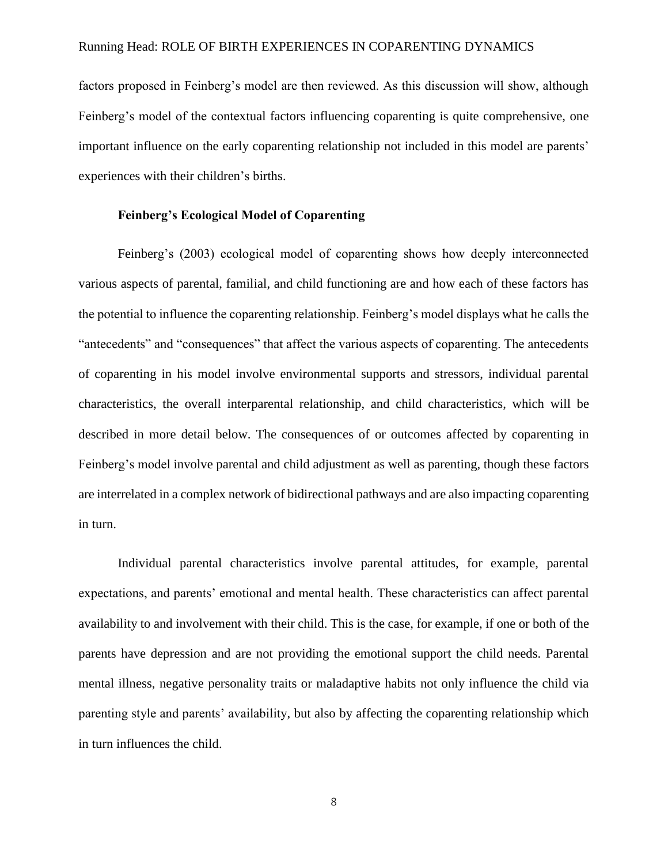factors proposed in Feinberg's model are then reviewed. As this discussion will show, although Feinberg's model of the contextual factors influencing coparenting is quite comprehensive, one important influence on the early coparenting relationship not included in this model are parents' experiences with their children's births.

## **Feinberg's Ecological Model of Coparenting**

Feinberg's (2003) ecological model of coparenting shows how deeply interconnected various aspects of parental, familial, and child functioning are and how each of these factors has the potential to influence the coparenting relationship. Feinberg's model displays what he calls the "antecedents" and "consequences" that affect the various aspects of coparenting. The antecedents of coparenting in his model involve environmental supports and stressors, individual parental characteristics, the overall interparental relationship, and child characteristics, which will be described in more detail below. The consequences of or outcomes affected by coparenting in Feinberg's model involve parental and child adjustment as well as parenting, though these factors are interrelated in a complex network of bidirectional pathways and are also impacting coparenting in turn.

Individual parental characteristics involve parental attitudes, for example, parental expectations, and parents' emotional and mental health. These characteristics can affect parental availability to and involvement with their child. This is the case, for example, if one or both of the parents have depression and are not providing the emotional support the child needs. Parental mental illness, negative personality traits or maladaptive habits not only influence the child via parenting style and parents' availability, but also by affecting the coparenting relationship which in turn influences the child.

8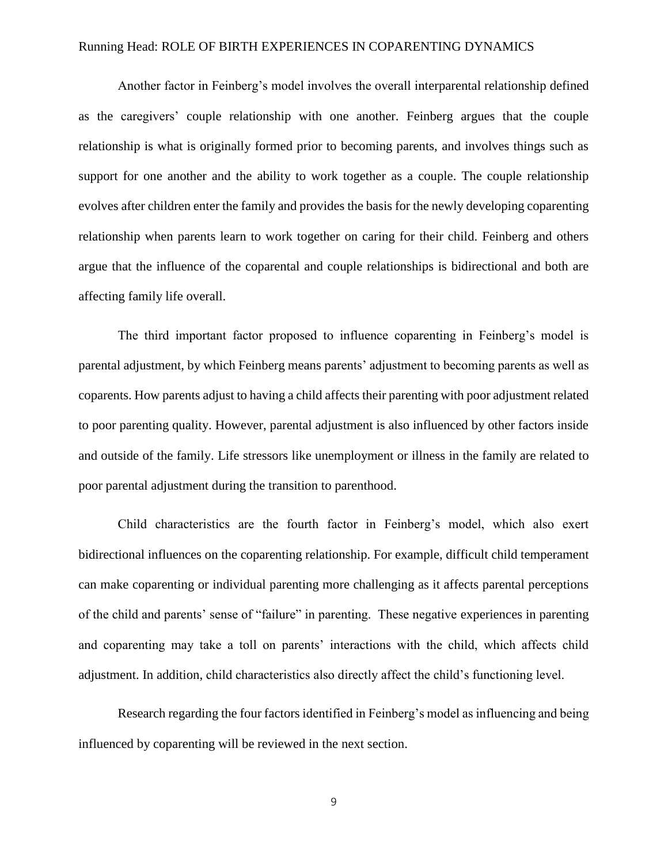Another factor in Feinberg's model involves the overall interparental relationship defined as the caregivers' couple relationship with one another. Feinberg argues that the couple relationship is what is originally formed prior to becoming parents, and involves things such as support for one another and the ability to work together as a couple. The couple relationship evolves after children enter the family and provides the basis for the newly developing coparenting relationship when parents learn to work together on caring for their child. Feinberg and others argue that the influence of the coparental and couple relationships is bidirectional and both are affecting family life overall.

The third important factor proposed to influence coparenting in Feinberg's model is parental adjustment, by which Feinberg means parents' adjustment to becoming parents as well as coparents. How parents adjust to having a child affects their parenting with poor adjustment related to poor parenting quality. However, parental adjustment is also influenced by other factors inside and outside of the family. Life stressors like unemployment or illness in the family are related to poor parental adjustment during the transition to parenthood.

Child characteristics are the fourth factor in Feinberg's model, which also exert bidirectional influences on the coparenting relationship. For example, difficult child temperament can make coparenting or individual parenting more challenging as it affects parental perceptions of the child and parents' sense of "failure" in parenting. These negative experiences in parenting and coparenting may take a toll on parents' interactions with the child, which affects child adjustment. In addition, child characteristics also directly affect the child's functioning level.

Research regarding the four factors identified in Feinberg's model as influencing and being influenced by coparenting will be reviewed in the next section.

9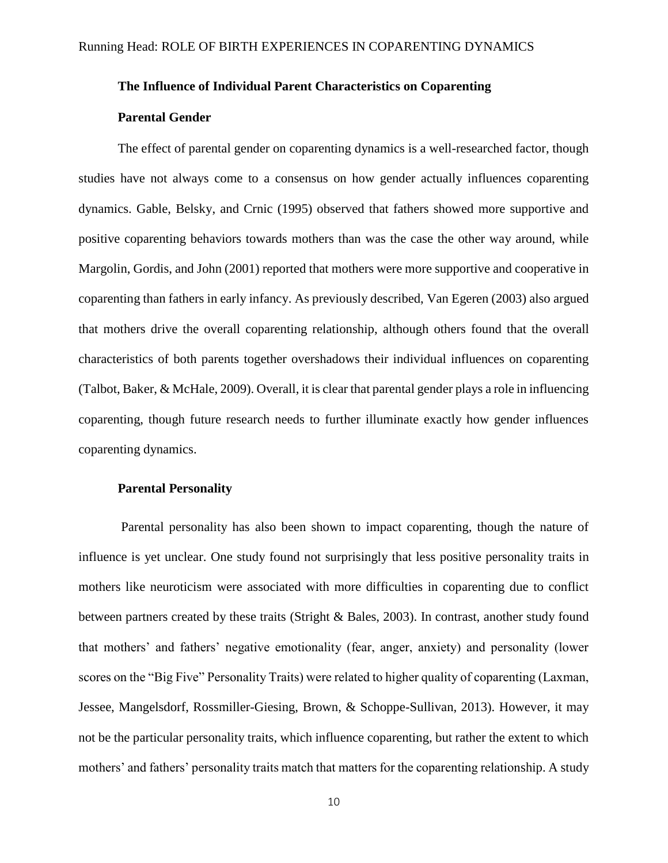## **The Influence of Individual Parent Characteristics on Coparenting**

## **Parental Gender**

The effect of parental gender on coparenting dynamics is a well-researched factor, though studies have not always come to a consensus on how gender actually influences coparenting dynamics. Gable, Belsky, and Crnic (1995) observed that fathers showed more supportive and positive coparenting behaviors towards mothers than was the case the other way around, while Margolin, Gordis, and John (2001) reported that mothers were more supportive and cooperative in coparenting than fathers in early infancy. As previously described, Van Egeren (2003) also argued that mothers drive the overall coparenting relationship, although others found that the overall characteristics of both parents together overshadows their individual influences on coparenting (Talbot, Baker, & McHale, 2009). Overall, it is clear that parental gender plays a role in influencing coparenting, though future research needs to further illuminate exactly how gender influences coparenting dynamics.

## **Parental Personality**

Parental personality has also been shown to impact coparenting, though the nature of influence is yet unclear. One study found not surprisingly that less positive personality traits in mothers like neuroticism were associated with more difficulties in coparenting due to conflict between partners created by these traits (Stright & Bales, 2003). In contrast, another study found that mothers' and fathers' negative emotionality (fear, anger, anxiety) and personality (lower scores on the "Big Five" Personality Traits) were related to higher quality of coparenting (Laxman, Jessee, Mangelsdorf, Rossmiller-Giesing, Brown, & Schoppe-Sullivan, 2013). However, it may not be the particular personality traits, which influence coparenting, but rather the extent to which mothers' and fathers' personality traits match that matters for the coparenting relationship. A study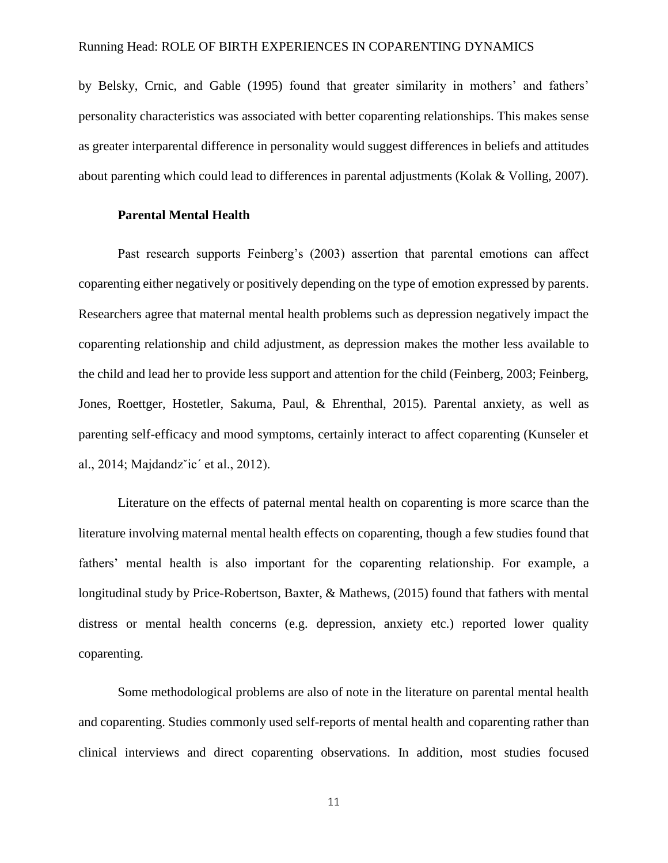by Belsky, Crnic, and Gable (1995) found that greater similarity in mothers' and fathers' personality characteristics was associated with better coparenting relationships. This makes sense as greater interparental difference in personality would suggest differences in beliefs and attitudes about parenting which could lead to differences in parental adjustments (Kolak & Volling, 2007).

## **Parental Mental Health**

Past research supports Feinberg's (2003) assertion that parental emotions can affect coparenting either negatively or positively depending on the type of emotion expressed by parents. Researchers agree that maternal mental health problems such as depression negatively impact the coparenting relationship and child adjustment, as depression makes the mother less available to the child and lead her to provide less support and attention for the child (Feinberg, 2003; Feinberg, Jones, Roettger, Hostetler, Sakuma, Paul, & Ehrenthal, 2015). Parental anxiety, as well as parenting self-efficacy and mood symptoms, certainly interact to affect coparenting (Kunseler et al., 2014; Majdandzˇic´ et al., 2012).

Literature on the effects of paternal mental health on coparenting is more scarce than the literature involving maternal mental health effects on coparenting, though a few studies found that fathers' mental health is also important for the coparenting relationship. For example, a longitudinal study by Price-Robertson, Baxter, & Mathews, (2015) found that fathers with mental distress or mental health concerns (e.g. depression, anxiety etc.) reported lower quality coparenting.

Some methodological problems are also of note in the literature on parental mental health and coparenting. Studies commonly used self-reports of mental health and coparenting rather than clinical interviews and direct coparenting observations. In addition, most studies focused

11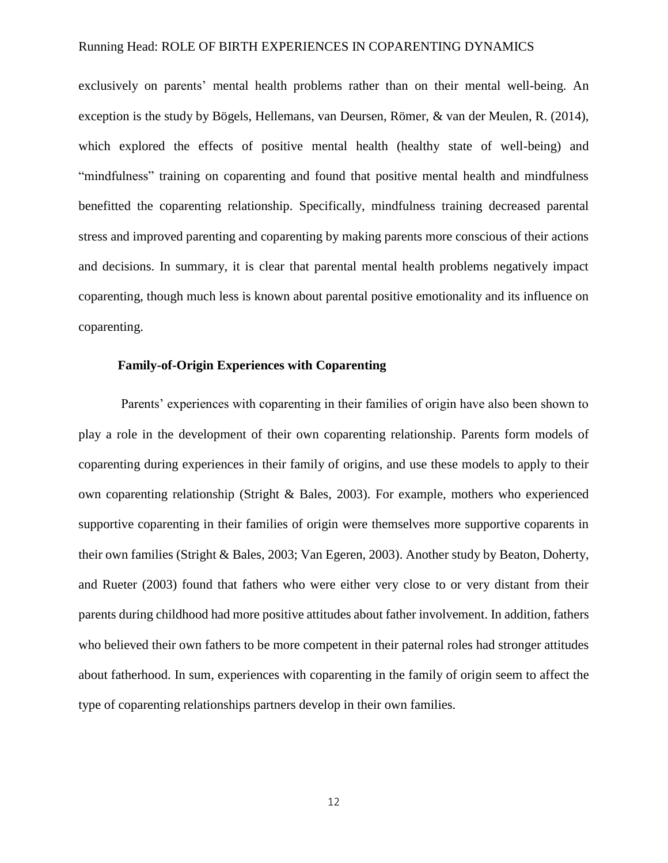exclusively on parents' mental health problems rather than on their mental well-being. An exception is the study by Bögels, Hellemans, van Deursen, Römer, & van der Meulen, R. (2014), which explored the effects of positive mental health (healthy state of well-being) and "mindfulness" training on coparenting and found that positive mental health and mindfulness benefitted the coparenting relationship. Specifically, mindfulness training decreased parental stress and improved parenting and coparenting by making parents more conscious of their actions and decisions. In summary, it is clear that parental mental health problems negatively impact coparenting, though much less is known about parental positive emotionality and its influence on coparenting.

## **Family-of-Origin Experiences with Coparenting**

Parents' experiences with coparenting in their families of origin have also been shown to play a role in the development of their own coparenting relationship. Parents form models of coparenting during experiences in their family of origins, and use these models to apply to their own coparenting relationship (Stright & Bales, 2003). For example, mothers who experienced supportive coparenting in their families of origin were themselves more supportive coparents in their own families (Stright & Bales, 2003; Van Egeren, 2003). Another study by Beaton, Doherty, and Rueter (2003) found that fathers who were either very close to or very distant from their parents during childhood had more positive attitudes about father involvement. In addition, fathers who believed their own fathers to be more competent in their paternal roles had stronger attitudes about fatherhood. In sum, experiences with coparenting in the family of origin seem to affect the type of coparenting relationships partners develop in their own families.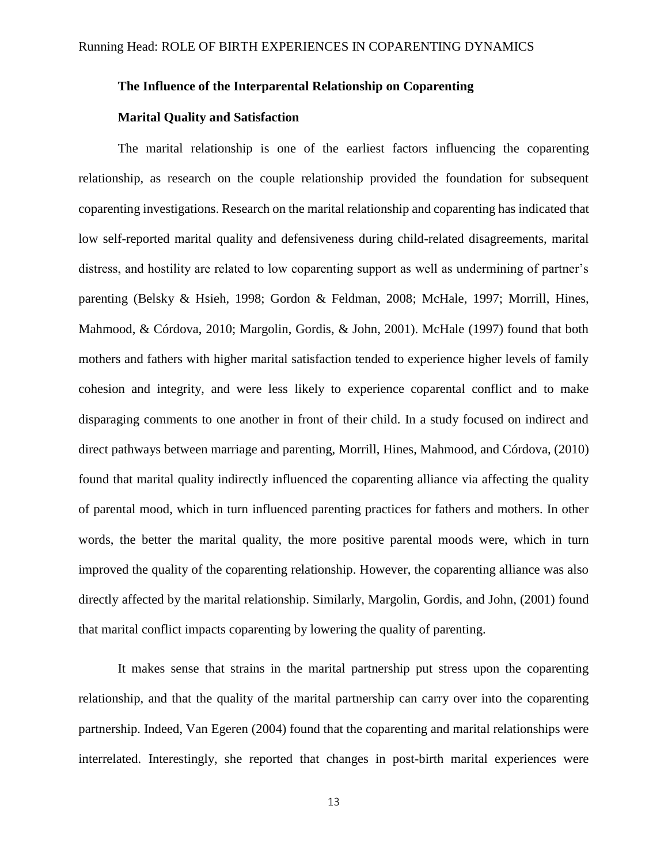## **The Influence of the Interparental Relationship on Coparenting**

## **Marital Quality and Satisfaction**

The marital relationship is one of the earliest factors influencing the coparenting relationship, as research on the couple relationship provided the foundation for subsequent coparenting investigations. Research on the marital relationship and coparenting has indicated that low self-reported marital quality and defensiveness during child-related disagreements, marital distress, and hostility are related to low coparenting support as well as undermining of partner's parenting (Belsky & Hsieh, 1998; Gordon & Feldman, 2008; McHale, 1997; Morrill, Hines, Mahmood, & Córdova, 2010; Margolin, Gordis, & John, 2001). McHale (1997) found that both mothers and fathers with higher marital satisfaction tended to experience higher levels of family cohesion and integrity, and were less likely to experience coparental conflict and to make disparaging comments to one another in front of their child. In a study focused on indirect and direct pathways between marriage and parenting, Morrill, Hines, Mahmood, and Córdova, (2010) found that marital quality indirectly influenced the coparenting alliance via affecting the quality of parental mood, which in turn influenced parenting practices for fathers and mothers. In other words, the better the marital quality, the more positive parental moods were, which in turn improved the quality of the coparenting relationship. However, the coparenting alliance was also directly affected by the marital relationship. Similarly, Margolin, Gordis, and John, (2001) found that marital conflict impacts coparenting by lowering the quality of parenting.

It makes sense that strains in the marital partnership put stress upon the coparenting relationship, and that the quality of the marital partnership can carry over into the coparenting partnership. Indeed, Van Egeren (2004) found that the coparenting and marital relationships were interrelated. Interestingly, she reported that changes in post-birth marital experiences were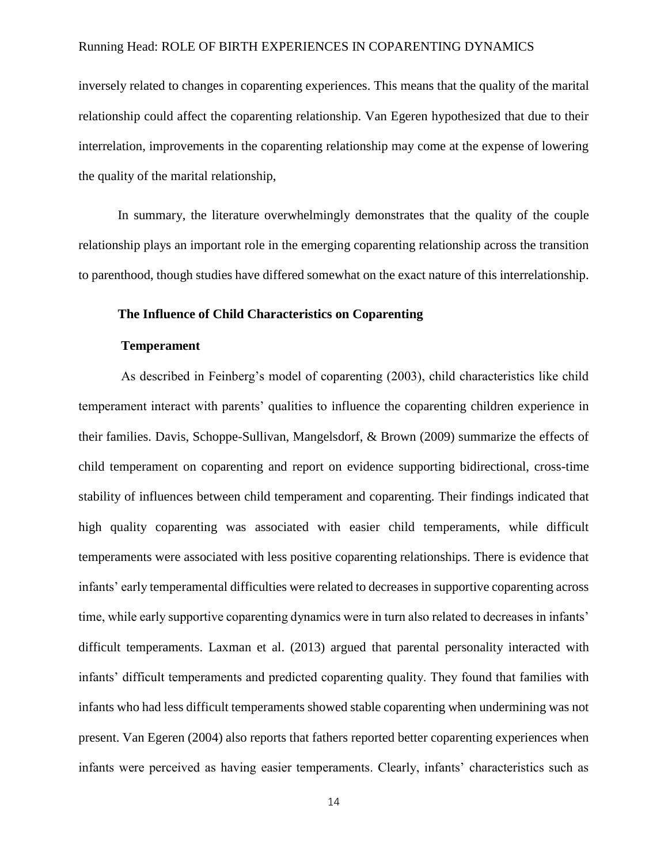inversely related to changes in coparenting experiences. This means that the quality of the marital relationship could affect the coparenting relationship. Van Egeren hypothesized that due to their interrelation, improvements in the coparenting relationship may come at the expense of lowering the quality of the marital relationship,

In summary, the literature overwhelmingly demonstrates that the quality of the couple relationship plays an important role in the emerging coparenting relationship across the transition to parenthood, though studies have differed somewhat on the exact nature of this interrelationship.

## **The Influence of Child Characteristics on Coparenting**

#### **Temperament**

As described in Feinberg's model of coparenting (2003), child characteristics like child temperament interact with parents' qualities to influence the coparenting children experience in their families. Davis, Schoppe-Sullivan, Mangelsdorf, & Brown (2009) summarize the effects of child temperament on coparenting and report on evidence supporting bidirectional, cross-time stability of influences between child temperament and coparenting. Their findings indicated that high quality coparenting was associated with easier child temperaments, while difficult temperaments were associated with less positive coparenting relationships. There is evidence that infants' early temperamental difficulties were related to decreases in supportive coparenting across time, while early supportive coparenting dynamics were in turn also related to decreases in infants' difficult temperaments. Laxman et al. (2013) argued that parental personality interacted with infants' difficult temperaments and predicted coparenting quality. They found that families with infants who had less difficult temperaments showed stable coparenting when undermining was not present. Van Egeren (2004) also reports that fathers reported better coparenting experiences when infants were perceived as having easier temperaments. Clearly, infants' characteristics such as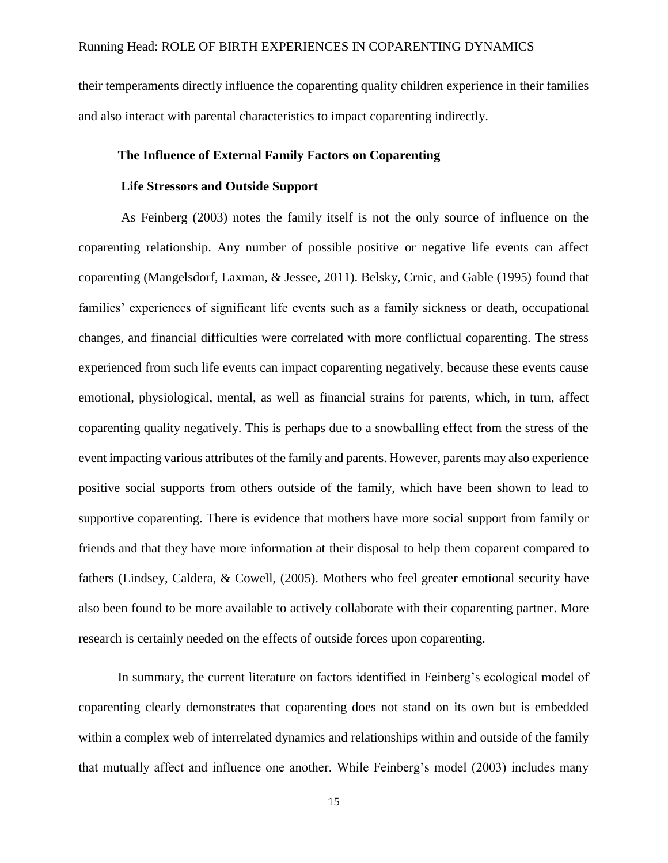their temperaments directly influence the coparenting quality children experience in their families and also interact with parental characteristics to impact coparenting indirectly.

## **The Influence of External Family Factors on Coparenting**

## **Life Stressors and Outside Support**

As Feinberg (2003) notes the family itself is not the only source of influence on the coparenting relationship. Any number of possible positive or negative life events can affect coparenting (Mangelsdorf, Laxman, & Jessee, 2011). Belsky, Crnic, and Gable (1995) found that families' experiences of significant life events such as a family sickness or death, occupational changes, and financial difficulties were correlated with more conflictual coparenting. The stress experienced from such life events can impact coparenting negatively, because these events cause emotional, physiological, mental, as well as financial strains for parents, which, in turn, affect coparenting quality negatively. This is perhaps due to a snowballing effect from the stress of the event impacting various attributes of the family and parents. However, parents may also experience positive social supports from others outside of the family, which have been shown to lead to supportive coparenting. There is evidence that mothers have more social support from family or friends and that they have more information at their disposal to help them coparent compared to fathers (Lindsey, Caldera, & Cowell, (2005). Mothers who feel greater emotional security have also been found to be more available to actively collaborate with their coparenting partner. More research is certainly needed on the effects of outside forces upon coparenting.

In summary, the current literature on factors identified in Feinberg's ecological model of coparenting clearly demonstrates that coparenting does not stand on its own but is embedded within a complex web of interrelated dynamics and relationships within and outside of the family that mutually affect and influence one another. While Feinberg's model (2003) includes many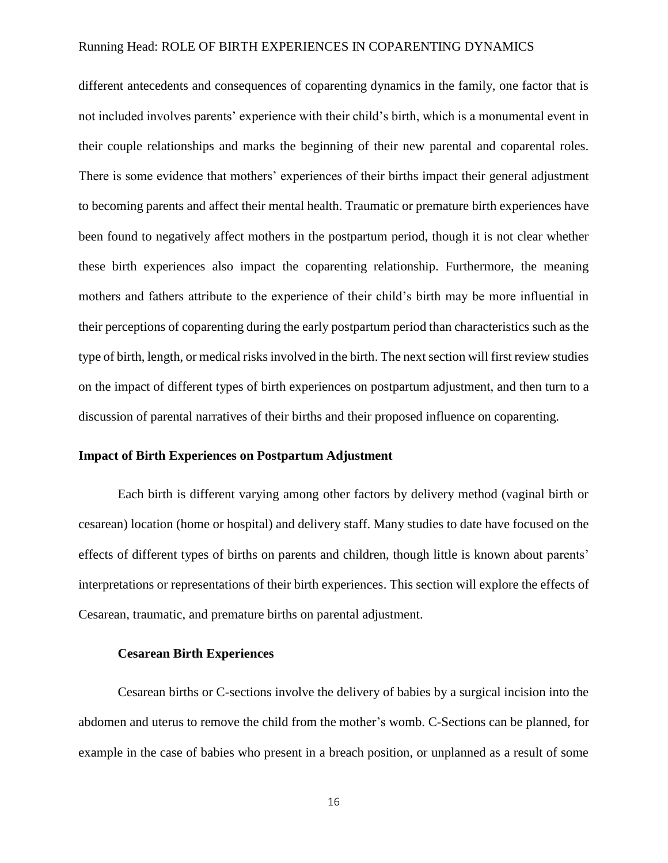different antecedents and consequences of coparenting dynamics in the family, one factor that is not included involves parents' experience with their child's birth, which is a monumental event in their couple relationships and marks the beginning of their new parental and coparental roles. There is some evidence that mothers' experiences of their births impact their general adjustment to becoming parents and affect their mental health. Traumatic or premature birth experiences have been found to negatively affect mothers in the postpartum period, though it is not clear whether these birth experiences also impact the coparenting relationship. Furthermore, the meaning mothers and fathers attribute to the experience of their child's birth may be more influential in their perceptions of coparenting during the early postpartum period than characteristics such as the type of birth, length, or medical risks involved in the birth. The next section will first review studies on the impact of different types of birth experiences on postpartum adjustment, and then turn to a discussion of parental narratives of their births and their proposed influence on coparenting.

## **Impact of Birth Experiences on Postpartum Adjustment**

Each birth is different varying among other factors by delivery method (vaginal birth or cesarean) location (home or hospital) and delivery staff. Many studies to date have focused on the effects of different types of births on parents and children, though little is known about parents' interpretations or representations of their birth experiences. This section will explore the effects of Cesarean, traumatic, and premature births on parental adjustment.

## **Cesarean Birth Experiences**

Cesarean births or C-sections involve the delivery of babies by a surgical incision into the abdomen and uterus to remove the child from the mother's womb. C-Sections can be planned, for example in the case of babies who present in a breach position, or unplanned as a result of some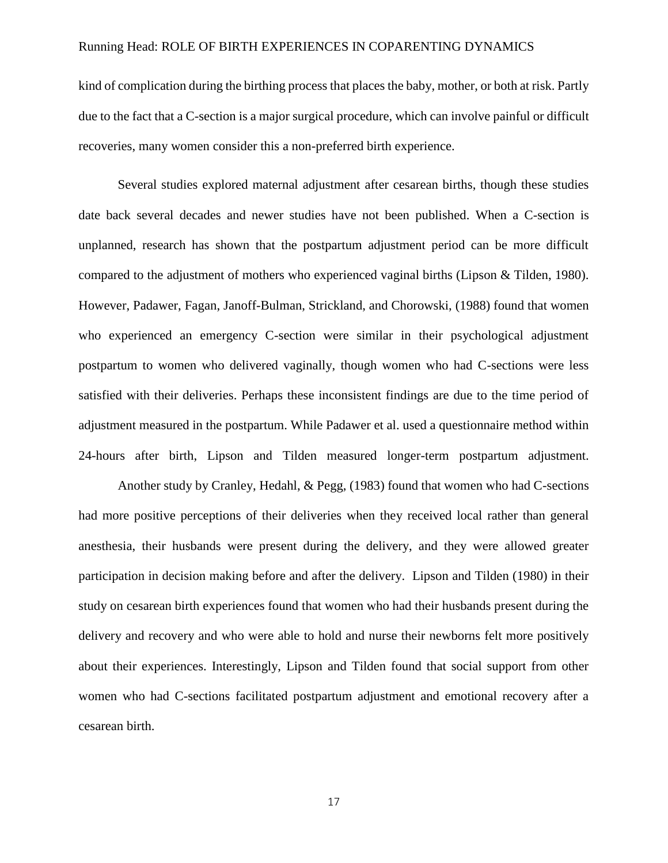kind of complication during the birthing process that places the baby, mother, or both at risk. Partly due to the fact that a C-section is a major surgical procedure, which can involve painful or difficult recoveries, many women consider this a non-preferred birth experience.

Several studies explored maternal adjustment after cesarean births, though these studies date back several decades and newer studies have not been published. When a C-section is unplanned, research has shown that the postpartum adjustment period can be more difficult compared to the adjustment of mothers who experienced vaginal births (Lipson & Tilden, 1980). However, Padawer, Fagan, Janoff-Bulman, Strickland, and Chorowski, (1988) found that women who experienced an emergency C-section were similar in their psychological adjustment postpartum to women who delivered vaginally, though women who had C-sections were less satisfied with their deliveries. Perhaps these inconsistent findings are due to the time period of adjustment measured in the postpartum. While Padawer et al. used a questionnaire method within 24-hours after birth, Lipson and Tilden measured longer-term postpartum adjustment.

Another study by Cranley, Hedahl, & Pegg, (1983) found that women who had C-sections had more positive perceptions of their deliveries when they received local rather than general anesthesia, their husbands were present during the delivery, and they were allowed greater participation in decision making before and after the delivery. Lipson and Tilden (1980) in their study on cesarean birth experiences found that women who had their husbands present during the delivery and recovery and who were able to hold and nurse their newborns felt more positively about their experiences. Interestingly, Lipson and Tilden found that social support from other women who had C-sections facilitated postpartum adjustment and emotional recovery after a cesarean birth.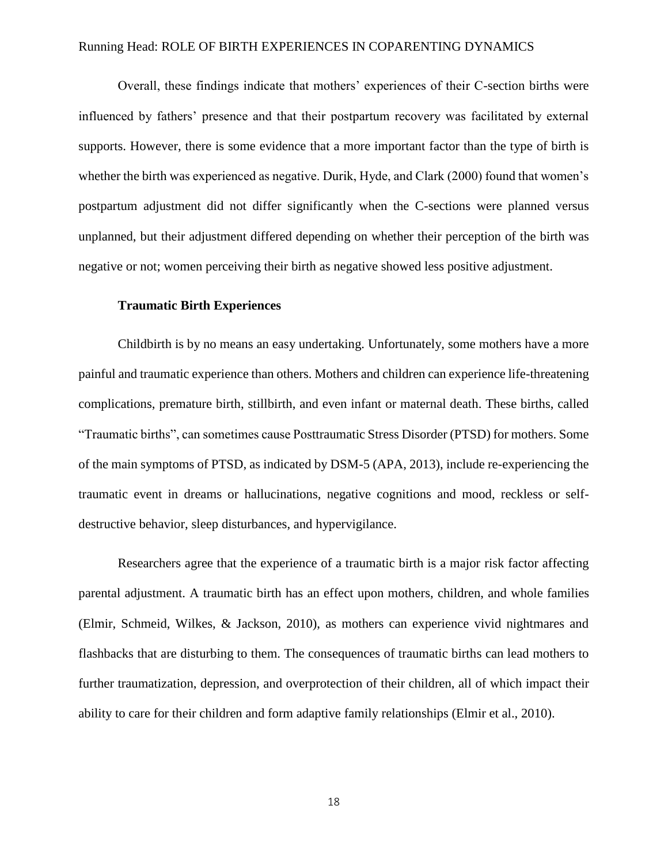Overall, these findings indicate that mothers' experiences of their C-section births were influenced by fathers' presence and that their postpartum recovery was facilitated by external supports. However, there is some evidence that a more important factor than the type of birth is whether the birth was experienced as negative. Durik, Hyde, and Clark (2000) found that women's postpartum adjustment did not differ significantly when the C-sections were planned versus unplanned, but their adjustment differed depending on whether their perception of the birth was negative or not; women perceiving their birth as negative showed less positive adjustment.

## **Traumatic Birth Experiences**

Childbirth is by no means an easy undertaking. Unfortunately, some mothers have a more painful and traumatic experience than others. Mothers and children can experience life-threatening complications, premature birth, stillbirth, and even infant or maternal death. These births, called "Traumatic births", can sometimes cause Posttraumatic Stress Disorder (PTSD) for mothers. Some of the main symptoms of PTSD, as indicated by DSM-5 (APA, 2013), include re-experiencing the traumatic event in dreams or hallucinations, negative cognitions and mood, reckless or selfdestructive behavior, sleep disturbances, and hypervigilance.

Researchers agree that the experience of a traumatic birth is a major risk factor affecting parental adjustment. A traumatic birth has an effect upon mothers, children, and whole families (Elmir, Schmeid, Wilkes, & Jackson, 2010), as mothers can experience vivid nightmares and flashbacks that are disturbing to them. The consequences of traumatic births can lead mothers to further traumatization, depression, and overprotection of their children, all of which impact their ability to care for their children and form adaptive family relationships (Elmir et al., 2010).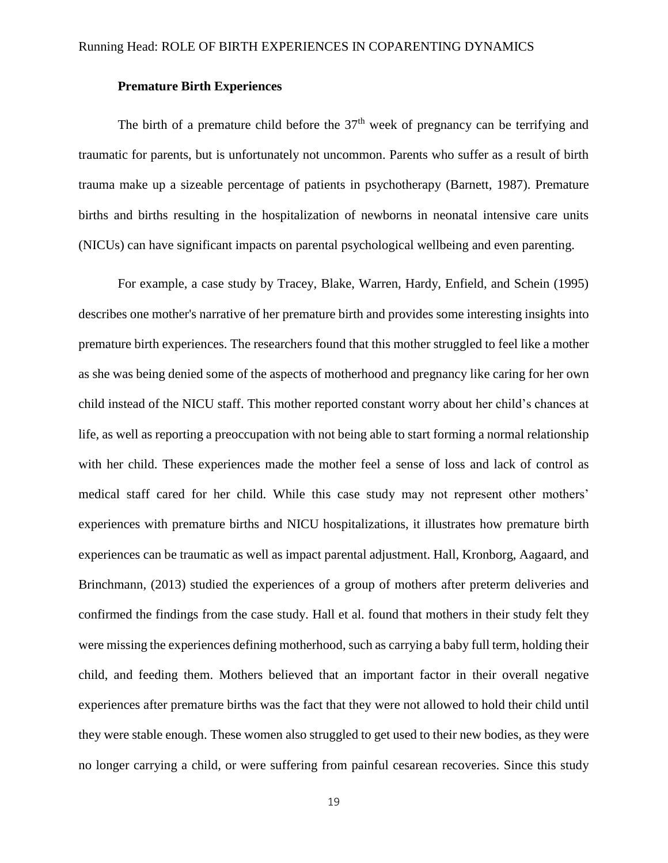## **Premature Birth Experiences**

The birth of a premature child before the  $37<sup>th</sup>$  week of pregnancy can be terrifying and traumatic for parents, but is unfortunately not uncommon. Parents who suffer as a result of birth trauma make up a sizeable percentage of patients in psychotherapy (Barnett, 1987). Premature births and births resulting in the hospitalization of newborns in neonatal intensive care units (NICUs) can have significant impacts on parental psychological wellbeing and even parenting.

For example, a case study by Tracey, Blake, Warren, Hardy, Enfield, and Schein (1995) describes one mother's narrative of her premature birth and provides some interesting insights into premature birth experiences. The researchers found that this mother struggled to feel like a mother as she was being denied some of the aspects of motherhood and pregnancy like caring for her own child instead of the NICU staff. This mother reported constant worry about her child's chances at life, as well as reporting a preoccupation with not being able to start forming a normal relationship with her child. These experiences made the mother feel a sense of loss and lack of control as medical staff cared for her child. While this case study may not represent other mothers' experiences with premature births and NICU hospitalizations, it illustrates how premature birth experiences can be traumatic as well as impact parental adjustment. Hall, Kronborg, Aagaard, and Brinchmann, (2013) studied the experiences of a group of mothers after preterm deliveries and confirmed the findings from the case study. Hall et al. found that mothers in their study felt they were missing the experiences defining motherhood, such as carrying a baby full term, holding their child, and feeding them. Mothers believed that an important factor in their overall negative experiences after premature births was the fact that they were not allowed to hold their child until they were stable enough. These women also struggled to get used to their new bodies, as they were no longer carrying a child, or were suffering from painful cesarean recoveries. Since this study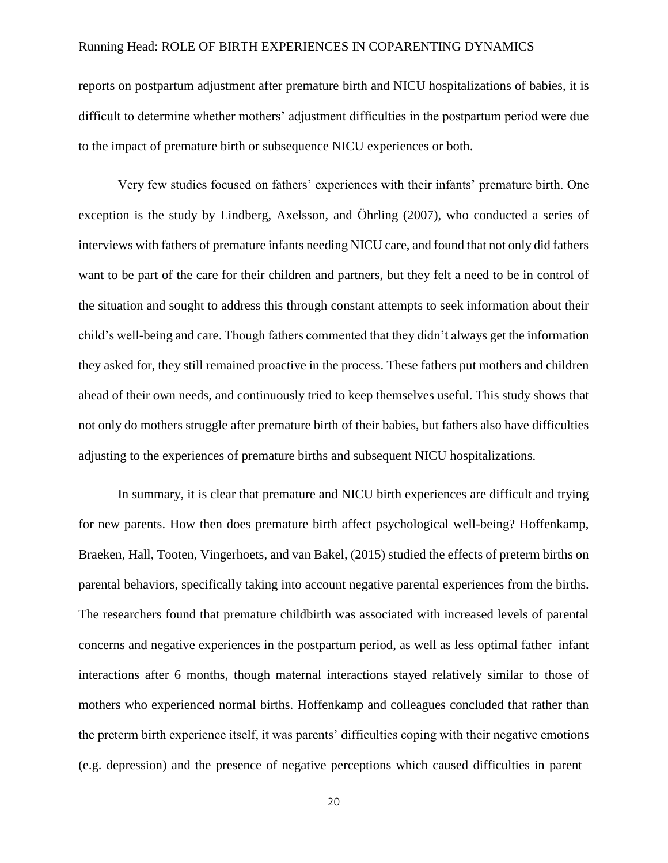reports on postpartum adjustment after premature birth and NICU hospitalizations of babies, it is difficult to determine whether mothers' adjustment difficulties in the postpartum period were due to the impact of premature birth or subsequence NICU experiences or both.

Very few studies focused on fathers' experiences with their infants' premature birth. One exception is the study by Lindberg, Axelsson, and Öhrling (2007), who conducted a series of interviews with fathers of premature infants needing NICU care, and found that not only did fathers want to be part of the care for their children and partners, but they felt a need to be in control of the situation and sought to address this through constant attempts to seek information about their child's well-being and care. Though fathers commented that they didn't always get the information they asked for, they still remained proactive in the process. These fathers put mothers and children ahead of their own needs, and continuously tried to keep themselves useful. This study shows that not only do mothers struggle after premature birth of their babies, but fathers also have difficulties adjusting to the experiences of premature births and subsequent NICU hospitalizations.

In summary, it is clear that premature and NICU birth experiences are difficult and trying for new parents. How then does premature birth affect psychological well-being? Hoffenkamp, Braeken, Hall, Tooten, Vingerhoets, and van Bakel, (2015) studied the effects of preterm births on parental behaviors, specifically taking into account negative parental experiences from the births. The researchers found that premature childbirth was associated with increased levels of parental concerns and negative experiences in the postpartum period, as well as less optimal father–infant interactions after 6 months, though maternal interactions stayed relatively similar to those of mothers who experienced normal births. Hoffenkamp and colleagues concluded that rather than the preterm birth experience itself, it was parents' difficulties coping with their negative emotions (e.g. depression) and the presence of negative perceptions which caused difficulties in parent–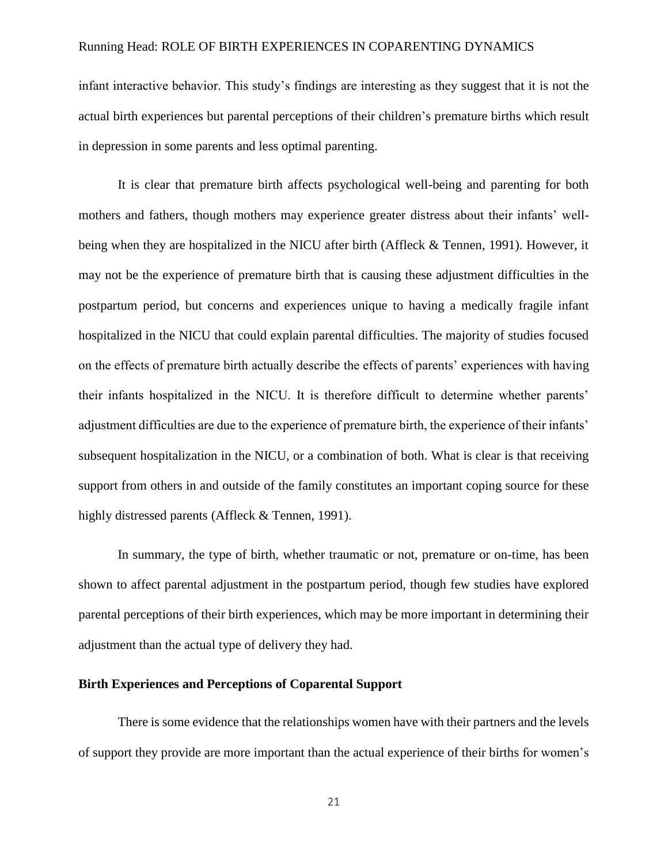infant interactive behavior. This study's findings are interesting as they suggest that it is not the actual birth experiences but parental perceptions of their children's premature births which result in depression in some parents and less optimal parenting.

It is clear that premature birth affects psychological well-being and parenting for both mothers and fathers, though mothers may experience greater distress about their infants' wellbeing when they are hospitalized in the NICU after birth (Affleck & Tennen, 1991). However, it may not be the experience of premature birth that is causing these adjustment difficulties in the postpartum period, but concerns and experiences unique to having a medically fragile infant hospitalized in the NICU that could explain parental difficulties. The majority of studies focused on the effects of premature birth actually describe the effects of parents' experiences with having their infants hospitalized in the NICU. It is therefore difficult to determine whether parents' adjustment difficulties are due to the experience of premature birth, the experience of their infants' subsequent hospitalization in the NICU, or a combination of both. What is clear is that receiving support from others in and outside of the family constitutes an important coping source for these highly distressed parents (Affleck & Tennen, 1991).

In summary, the type of birth, whether traumatic or not, premature or on-time, has been shown to affect parental adjustment in the postpartum period, though few studies have explored parental perceptions of their birth experiences, which may be more important in determining their adjustment than the actual type of delivery they had.

## **Birth Experiences and Perceptions of Coparental Support**

There is some evidence that the relationships women have with their partners and the levels of support they provide are more important than the actual experience of their births for women's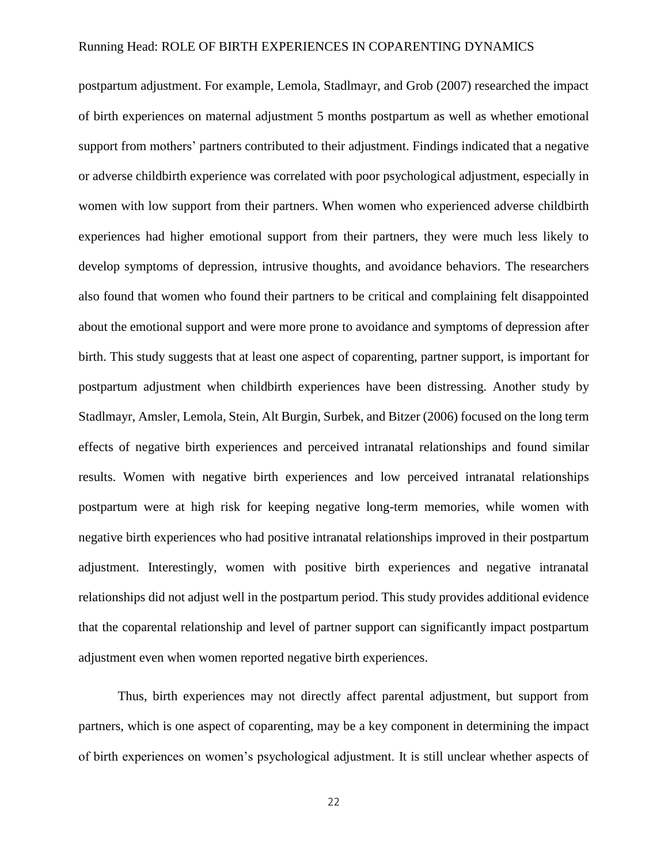postpartum adjustment. For example, Lemola, Stadlmayr, and Grob (2007) researched the impact of birth experiences on maternal adjustment 5 months postpartum as well as whether emotional support from mothers' partners contributed to their adjustment. Findings indicated that a negative or adverse childbirth experience was correlated with poor psychological adjustment, especially in women with low support from their partners. When women who experienced adverse childbirth experiences had higher emotional support from their partners, they were much less likely to develop symptoms of depression, intrusive thoughts, and avoidance behaviors. The researchers also found that women who found their partners to be critical and complaining felt disappointed about the emotional support and were more prone to avoidance and symptoms of depression after birth. This study suggests that at least one aspect of coparenting, partner support, is important for postpartum adjustment when childbirth experiences have been distressing. Another study by Stadlmayr, Amsler, Lemola, Stein, Alt Burgin, Surbek, and Bitzer (2006) focused on the long term effects of negative birth experiences and perceived intranatal relationships and found similar results. Women with negative birth experiences and low perceived intranatal relationships postpartum were at high risk for keeping negative long-term memories, while women with negative birth experiences who had positive intranatal relationships improved in their postpartum adjustment. Interestingly, women with positive birth experiences and negative intranatal relationships did not adjust well in the postpartum period. This study provides additional evidence that the coparental relationship and level of partner support can significantly impact postpartum adjustment even when women reported negative birth experiences.

Thus, birth experiences may not directly affect parental adjustment, but support from partners, which is one aspect of coparenting, may be a key component in determining the impact of birth experiences on women's psychological adjustment. It is still unclear whether aspects of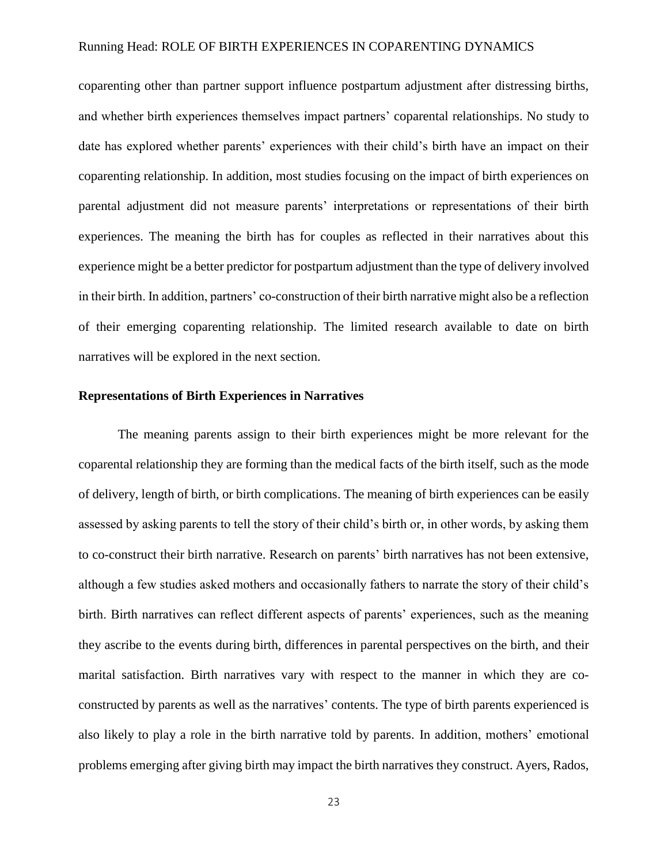coparenting other than partner support influence postpartum adjustment after distressing births, and whether birth experiences themselves impact partners' coparental relationships. No study to date has explored whether parents' experiences with their child's birth have an impact on their coparenting relationship. In addition, most studies focusing on the impact of birth experiences on parental adjustment did not measure parents' interpretations or representations of their birth experiences. The meaning the birth has for couples as reflected in their narratives about this experience might be a better predictor for postpartum adjustment than the type of delivery involved in their birth. In addition, partners' co-construction of their birth narrative might also be a reflection of their emerging coparenting relationship. The limited research available to date on birth narratives will be explored in the next section.

## **Representations of Birth Experiences in Narratives**

The meaning parents assign to their birth experiences might be more relevant for the coparental relationship they are forming than the medical facts of the birth itself, such as the mode of delivery, length of birth, or birth complications. The meaning of birth experiences can be easily assessed by asking parents to tell the story of their child's birth or, in other words, by asking them to co-construct their birth narrative. Research on parents' birth narratives has not been extensive, although a few studies asked mothers and occasionally fathers to narrate the story of their child's birth. Birth narratives can reflect different aspects of parents' experiences, such as the meaning they ascribe to the events during birth, differences in parental perspectives on the birth, and their marital satisfaction. Birth narratives vary with respect to the manner in which they are coconstructed by parents as well as the narratives' contents. The type of birth parents experienced is also likely to play a role in the birth narrative told by parents. In addition, mothers' emotional problems emerging after giving birth may impact the birth narratives they construct. Ayers, Rados,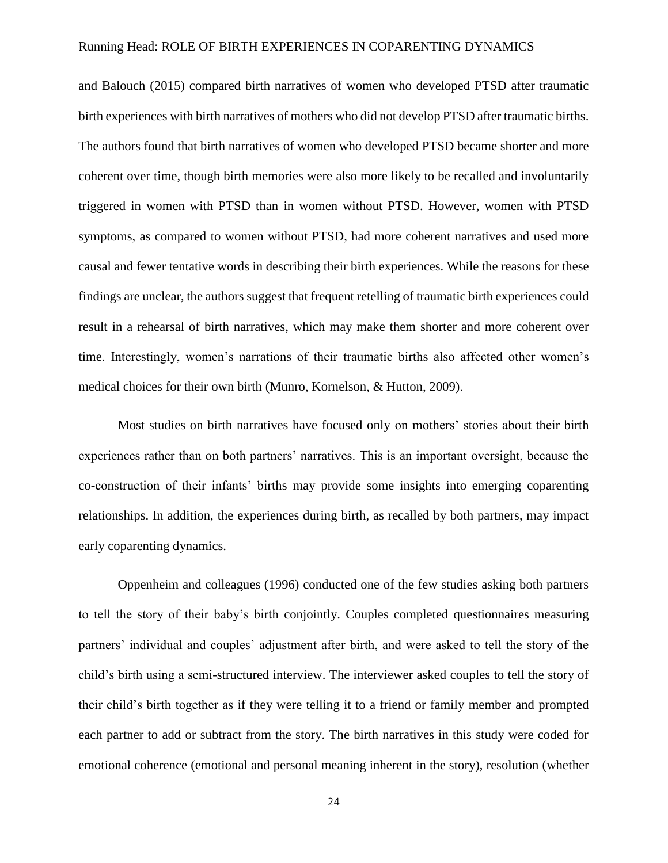and Balouch (2015) compared birth narratives of women who developed PTSD after traumatic birth experiences with birth narratives of mothers who did not develop PTSD after traumatic births. The authors found that birth narratives of women who developed PTSD became shorter and more coherent over time, though birth memories were also more likely to be recalled and involuntarily triggered in women with PTSD than in women without PTSD. However, women with PTSD symptoms, as compared to women without PTSD, had more coherent narratives and used more causal and fewer tentative words in describing their birth experiences. While the reasons for these findings are unclear, the authors suggest that frequent retelling of traumatic birth experiences could result in a rehearsal of birth narratives, which may make them shorter and more coherent over time. Interestingly, women's narrations of their traumatic births also affected other women's medical choices for their own birth (Munro, Kornelson, & Hutton, 2009).

Most studies on birth narratives have focused only on mothers' stories about their birth experiences rather than on both partners' narratives. This is an important oversight, because the co-construction of their infants' births may provide some insights into emerging coparenting relationships. In addition, the experiences during birth, as recalled by both partners, may impact early coparenting dynamics.

Oppenheim and colleagues (1996) conducted one of the few studies asking both partners to tell the story of their baby's birth conjointly. Couples completed questionnaires measuring partners' individual and couples' adjustment after birth, and were asked to tell the story of the child's birth using a semi-structured interview. The interviewer asked couples to tell the story of their child's birth together as if they were telling it to a friend or family member and prompted each partner to add or subtract from the story. The birth narratives in this study were coded for emotional coherence (emotional and personal meaning inherent in the story), resolution (whether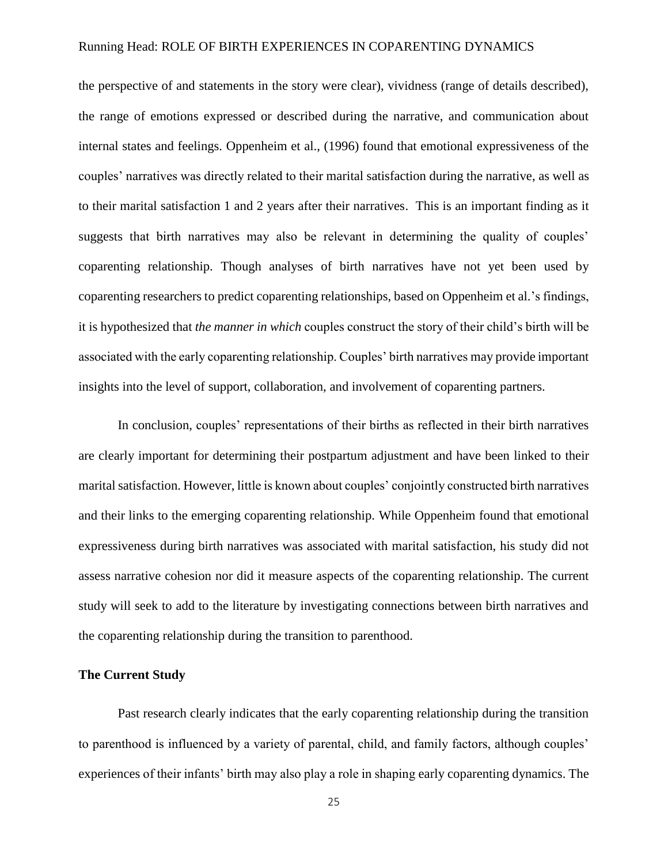the perspective of and statements in the story were clear), vividness (range of details described), the range of emotions expressed or described during the narrative, and communication about internal states and feelings. Oppenheim et al., (1996) found that emotional expressiveness of the couples' narratives was directly related to their marital satisfaction during the narrative, as well as to their marital satisfaction 1 and 2 years after their narratives. This is an important finding as it suggests that birth narratives may also be relevant in determining the quality of couples' coparenting relationship. Though analyses of birth narratives have not yet been used by coparenting researchers to predict coparenting relationships, based on Oppenheim et al.'s findings, it is hypothesized that *the manner in which* couples construct the story of their child's birth will be associated with the early coparenting relationship. Couples' birth narratives may provide important insights into the level of support, collaboration, and involvement of coparenting partners.

In conclusion, couples' representations of their births as reflected in their birth narratives are clearly important for determining their postpartum adjustment and have been linked to their marital satisfaction. However, little is known about couples' conjointly constructed birth narratives and their links to the emerging coparenting relationship. While Oppenheim found that emotional expressiveness during birth narratives was associated with marital satisfaction, his study did not assess narrative cohesion nor did it measure aspects of the coparenting relationship. The current study will seek to add to the literature by investigating connections between birth narratives and the coparenting relationship during the transition to parenthood.

## **The Current Study**

Past research clearly indicates that the early coparenting relationship during the transition to parenthood is influenced by a variety of parental, child, and family factors, although couples' experiences of their infants' birth may also play a role in shaping early coparenting dynamics. The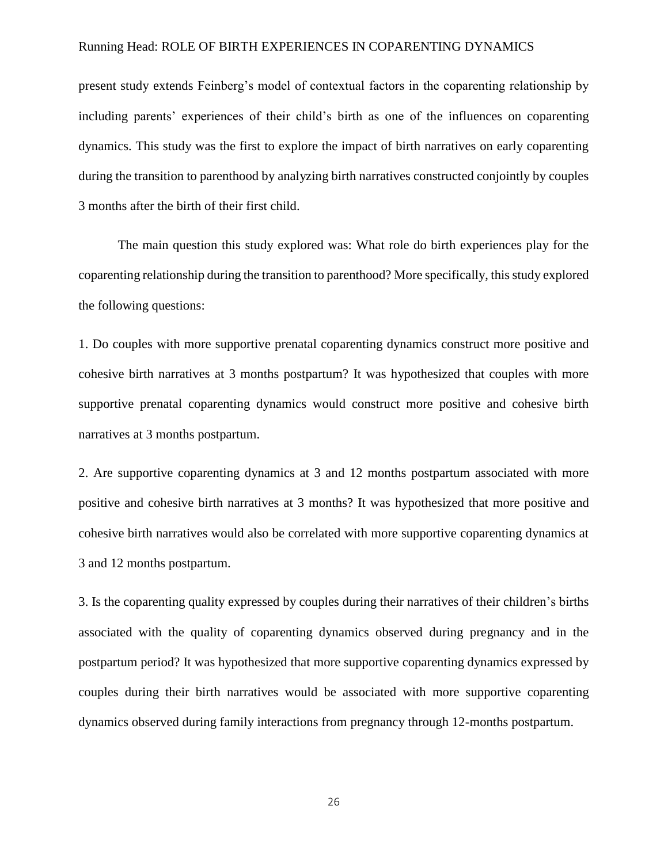present study extends Feinberg's model of contextual factors in the coparenting relationship by including parents' experiences of their child's birth as one of the influences on coparenting dynamics. This study was the first to explore the impact of birth narratives on early coparenting during the transition to parenthood by analyzing birth narratives constructed conjointly by couples 3 months after the birth of their first child.

The main question this study explored was: What role do birth experiences play for the coparenting relationship during the transition to parenthood? More specifically, this study explored the following questions:

1. Do couples with more supportive prenatal coparenting dynamics construct more positive and cohesive birth narratives at 3 months postpartum? It was hypothesized that couples with more supportive prenatal coparenting dynamics would construct more positive and cohesive birth narratives at 3 months postpartum.

2. Are supportive coparenting dynamics at 3 and 12 months postpartum associated with more positive and cohesive birth narratives at 3 months? It was hypothesized that more positive and cohesive birth narratives would also be correlated with more supportive coparenting dynamics at 3 and 12 months postpartum.

3. Is the coparenting quality expressed by couples during their narratives of their children's births associated with the quality of coparenting dynamics observed during pregnancy and in the postpartum period? It was hypothesized that more supportive coparenting dynamics expressed by couples during their birth narratives would be associated with more supportive coparenting dynamics observed during family interactions from pregnancy through 12-months postpartum.

26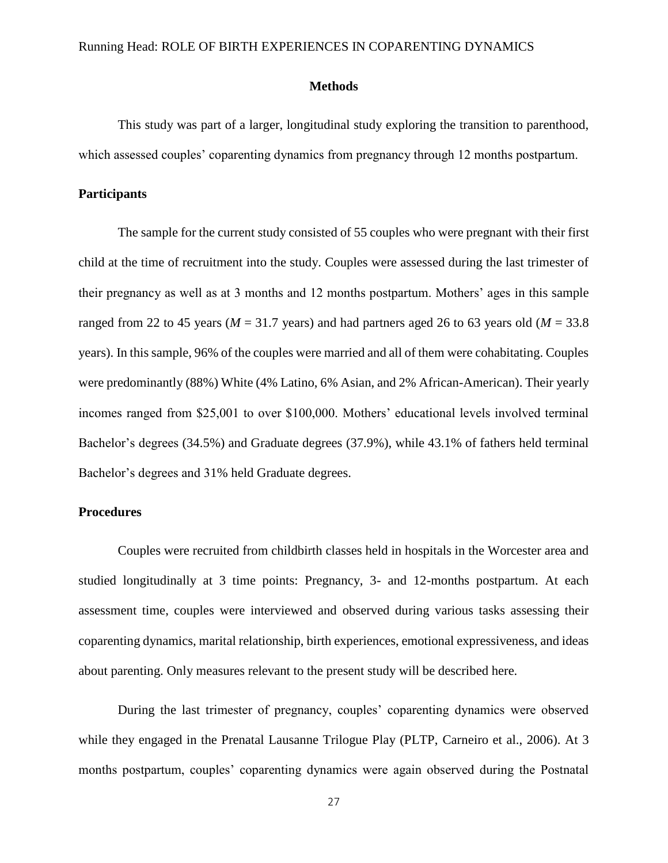#### **Methods**

This study was part of a larger, longitudinal study exploring the transition to parenthood, which assessed couples' coparenting dynamics from pregnancy through 12 months postpartum.

## **Participants**

The sample for the current study consisted of 55 couples who were pregnant with their first child at the time of recruitment into the study. Couples were assessed during the last trimester of their pregnancy as well as at 3 months and 12 months postpartum. Mothers' ages in this sample ranged from 22 to 45 years ( $M = 31.7$  years) and had partners aged 26 to 63 years old ( $M = 33.8$ ) years). In this sample, 96% of the couples were married and all of them were cohabitating. Couples were predominantly (88%) White (4% Latino, 6% Asian, and 2% African-American). Their yearly incomes ranged from \$25,001 to over \$100,000. Mothers' educational levels involved terminal Bachelor's degrees (34.5%) and Graduate degrees (37.9%), while 43.1% of fathers held terminal Bachelor's degrees and 31% held Graduate degrees.

## **Procedures**

Couples were recruited from childbirth classes held in hospitals in the Worcester area and studied longitudinally at 3 time points: Pregnancy, 3- and 12-months postpartum. At each assessment time, couples were interviewed and observed during various tasks assessing their coparenting dynamics, marital relationship, birth experiences, emotional expressiveness, and ideas about parenting. Only measures relevant to the present study will be described here.

During the last trimester of pregnancy, couples' coparenting dynamics were observed while they engaged in the Prenatal Lausanne Trilogue Play (PLTP, Carneiro et al., 2006). At 3 months postpartum, couples' coparenting dynamics were again observed during the Postnatal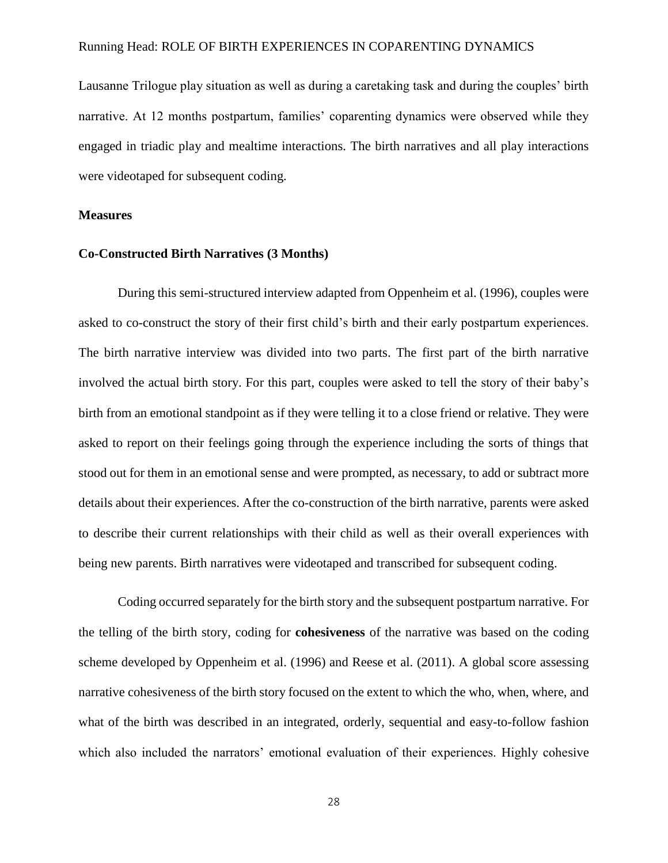Lausanne Trilogue play situation as well as during a caretaking task and during the couples' birth narrative. At 12 months postpartum, families' coparenting dynamics were observed while they engaged in triadic play and mealtime interactions. The birth narratives and all play interactions were videotaped for subsequent coding.

### **Measures**

#### **Co-Constructed Birth Narratives (3 Months)**

During this semi-structured interview adapted from Oppenheim et al. (1996), couples were asked to co-construct the story of their first child's birth and their early postpartum experiences. The birth narrative interview was divided into two parts. The first part of the birth narrative involved the actual birth story. For this part, couples were asked to tell the story of their baby's birth from an emotional standpoint as if they were telling it to a close friend or relative. They were asked to report on their feelings going through the experience including the sorts of things that stood out for them in an emotional sense and were prompted, as necessary, to add or subtract more details about their experiences. After the co-construction of the birth narrative, parents were asked to describe their current relationships with their child as well as their overall experiences with being new parents. Birth narratives were videotaped and transcribed for subsequent coding.

Coding occurred separately for the birth story and the subsequent postpartum narrative. For the telling of the birth story, coding for **cohesiveness** of the narrative was based on the coding scheme developed by Oppenheim et al. (1996) and Reese et al. (2011). A global score assessing narrative cohesiveness of the birth story focused on the extent to which the who, when, where, and what of the birth was described in an integrated, orderly, sequential and easy-to-follow fashion which also included the narrators' emotional evaluation of their experiences. Highly cohesive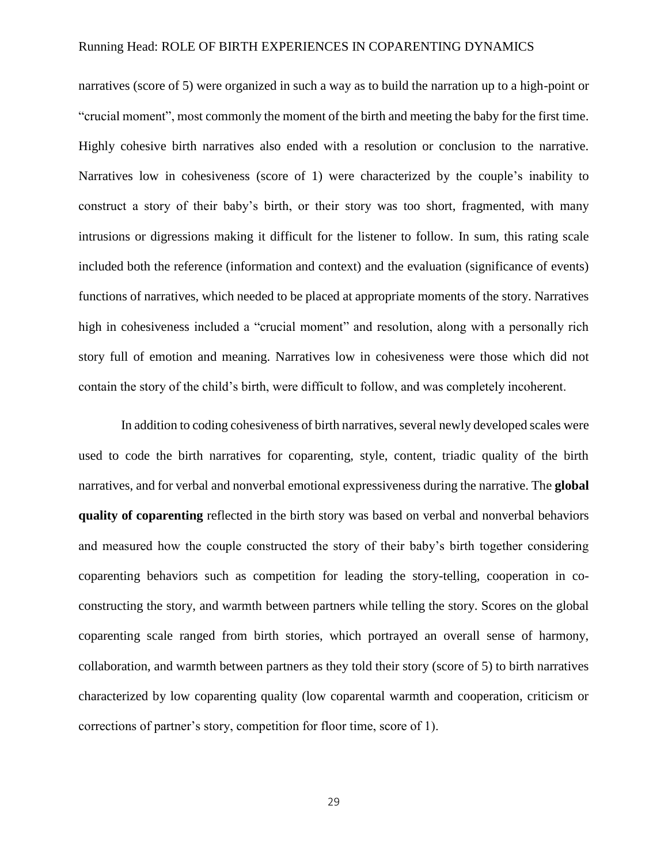narratives (score of 5) were organized in such a way as to build the narration up to a high-point or "crucial moment", most commonly the moment of the birth and meeting the baby for the first time. Highly cohesive birth narratives also ended with a resolution or conclusion to the narrative. Narratives low in cohesiveness (score of 1) were characterized by the couple's inability to construct a story of their baby's birth, or their story was too short, fragmented, with many intrusions or digressions making it difficult for the listener to follow. In sum, this rating scale included both the reference (information and context) and the evaluation (significance of events) functions of narratives, which needed to be placed at appropriate moments of the story. Narratives high in cohesiveness included a "crucial moment" and resolution, along with a personally rich story full of emotion and meaning. Narratives low in cohesiveness were those which did not contain the story of the child's birth, were difficult to follow, and was completely incoherent.

In addition to coding cohesiveness of birth narratives, several newly developed scales were used to code the birth narratives for coparenting, style, content, triadic quality of the birth narratives, and for verbal and nonverbal emotional expressiveness during the narrative. The **global quality of coparenting** reflected in the birth story was based on verbal and nonverbal behaviors and measured how the couple constructed the story of their baby's birth together considering coparenting behaviors such as competition for leading the story-telling, cooperation in coconstructing the story, and warmth between partners while telling the story. Scores on the global coparenting scale ranged from birth stories, which portrayed an overall sense of harmony, collaboration, and warmth between partners as they told their story (score of 5) to birth narratives characterized by low coparenting quality (low coparental warmth and cooperation, criticism or corrections of partner's story, competition for floor time, score of 1).

29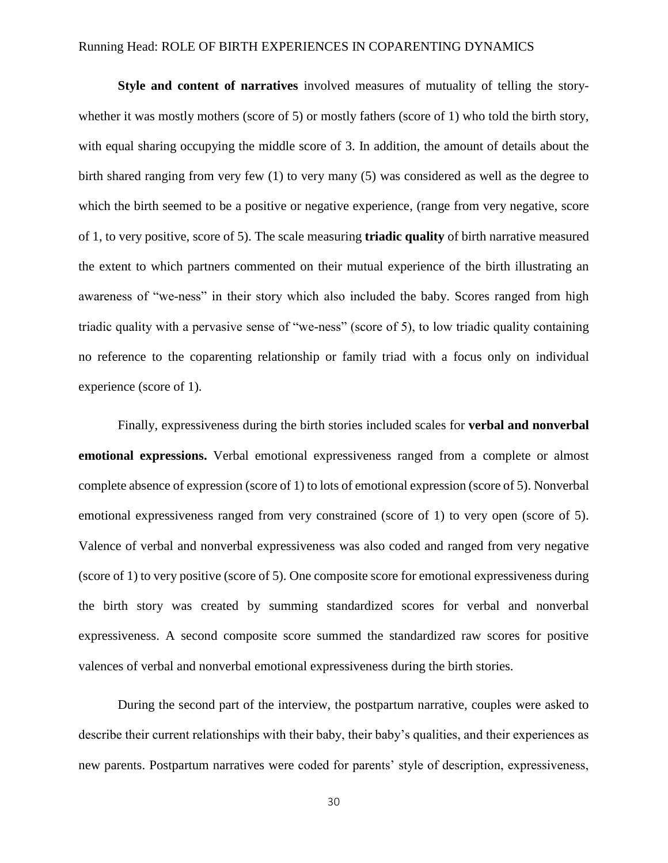**Style and content of narratives** involved measures of mutuality of telling the storywhether it was mostly mothers (score of 5) or mostly fathers (score of 1) who told the birth story, with equal sharing occupying the middle score of 3. In addition, the amount of details about the birth shared ranging from very few (1) to very many (5) was considered as well as the degree to which the birth seemed to be a positive or negative experience, (range from very negative, score of 1, to very positive, score of 5). The scale measuring **triadic quality** of birth narrative measured the extent to which partners commented on their mutual experience of the birth illustrating an awareness of "we-ness" in their story which also included the baby. Scores ranged from high triadic quality with a pervasive sense of "we-ness" (score of 5), to low triadic quality containing no reference to the coparenting relationship or family triad with a focus only on individual experience (score of 1).

Finally, expressiveness during the birth stories included scales for **verbal and nonverbal emotional expressions.** Verbal emotional expressiveness ranged from a complete or almost complete absence of expression (score of 1) to lots of emotional expression (score of 5). Nonverbal emotional expressiveness ranged from very constrained (score of 1) to very open (score of 5). Valence of verbal and nonverbal expressiveness was also coded and ranged from very negative (score of 1) to very positive (score of 5). One composite score for emotional expressiveness during the birth story was created by summing standardized scores for verbal and nonverbal expressiveness. A second composite score summed the standardized raw scores for positive valences of verbal and nonverbal emotional expressiveness during the birth stories.

During the second part of the interview, the postpartum narrative, couples were asked to describe their current relationships with their baby, their baby's qualities, and their experiences as new parents. Postpartum narratives were coded for parents' style of description, expressiveness,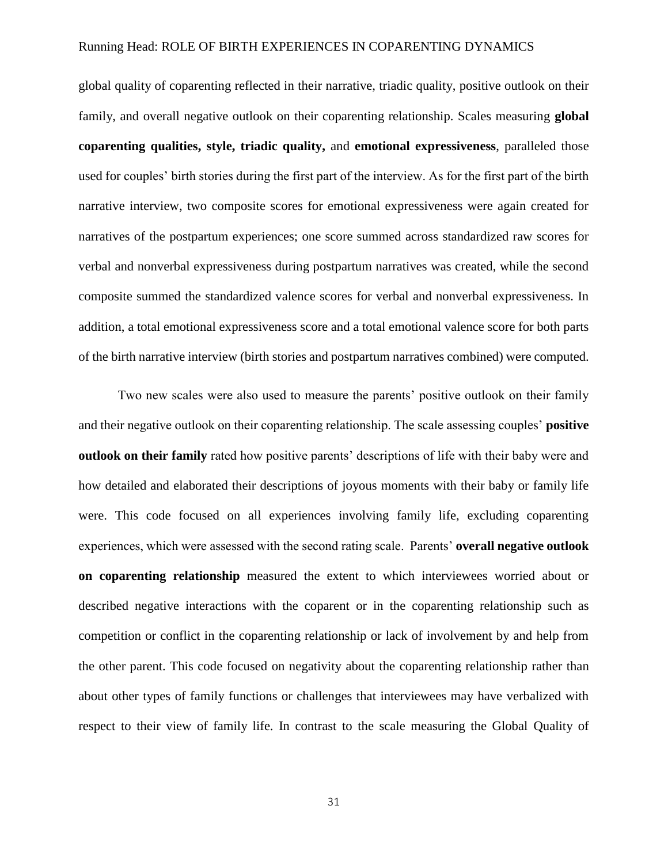global quality of coparenting reflected in their narrative, triadic quality, positive outlook on their family, and overall negative outlook on their coparenting relationship. Scales measuring **global coparenting qualities, style, triadic quality,** and **emotional expressiveness**, paralleled those used for couples' birth stories during the first part of the interview. As for the first part of the birth narrative interview, two composite scores for emotional expressiveness were again created for narratives of the postpartum experiences; one score summed across standardized raw scores for verbal and nonverbal expressiveness during postpartum narratives was created, while the second composite summed the standardized valence scores for verbal and nonverbal expressiveness. In addition, a total emotional expressiveness score and a total emotional valence score for both parts of the birth narrative interview (birth stories and postpartum narratives combined) were computed.

Two new scales were also used to measure the parents' positive outlook on their family and their negative outlook on their coparenting relationship. The scale assessing couples' **positive outlook on their family** rated how positive parents' descriptions of life with their baby were and how detailed and elaborated their descriptions of joyous moments with their baby or family life were. This code focused on all experiences involving family life, excluding coparenting experiences, which were assessed with the second rating scale. Parents' **overall negative outlook on coparenting relationship** measured the extent to which interviewees worried about or described negative interactions with the coparent or in the coparenting relationship such as competition or conflict in the coparenting relationship or lack of involvement by and help from the other parent. This code focused on negativity about the coparenting relationship rather than about other types of family functions or challenges that interviewees may have verbalized with respect to their view of family life. In contrast to the scale measuring the Global Quality of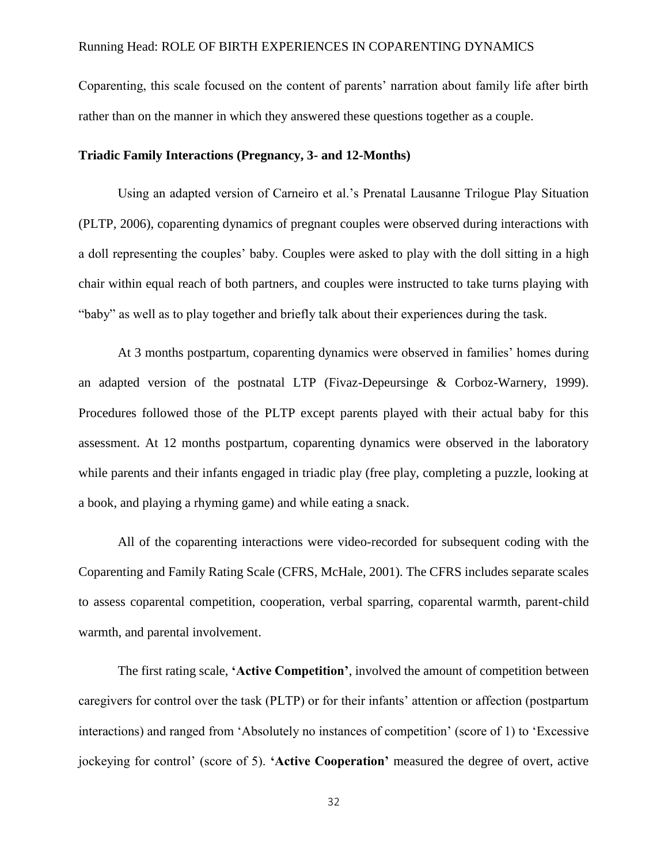Coparenting, this scale focused on the content of parents' narration about family life after birth rather than on the manner in which they answered these questions together as a couple.

### **Triadic Family Interactions (Pregnancy, 3- and 12-Months)**

Using an adapted version of Carneiro et al.'s Prenatal Lausanne Trilogue Play Situation (PLTP, 2006), coparenting dynamics of pregnant couples were observed during interactions with a doll representing the couples' baby. Couples were asked to play with the doll sitting in a high chair within equal reach of both partners, and couples were instructed to take turns playing with "baby" as well as to play together and briefly talk about their experiences during the task.

At 3 months postpartum, coparenting dynamics were observed in families' homes during an adapted version of the postnatal LTP (Fivaz-Depeursinge & Corboz-Warnery, 1999). Procedures followed those of the PLTP except parents played with their actual baby for this assessment. At 12 months postpartum, coparenting dynamics were observed in the laboratory while parents and their infants engaged in triadic play (free play, completing a puzzle, looking at a book, and playing a rhyming game) and while eating a snack.

All of the coparenting interactions were video-recorded for subsequent coding with the Coparenting and Family Rating Scale (CFRS, McHale, 2001). The CFRS includes separate scales to assess coparental competition, cooperation, verbal sparring, coparental warmth, parent-child warmth, and parental involvement.

The first rating scale, **'Active Competition'**, involved the amount of competition between caregivers for control over the task (PLTP) or for their infants' attention or affection (postpartum interactions) and ranged from 'Absolutely no instances of competition' (score of 1) to 'Excessive jockeying for control' (score of 5). **'Active Cooperation'** measured the degree of overt, active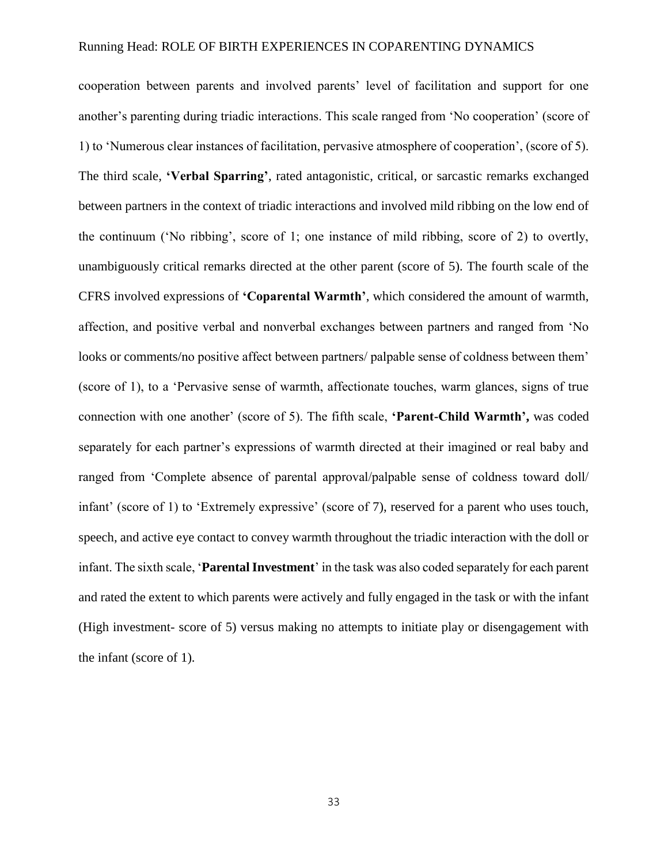cooperation between parents and involved parents' level of facilitation and support for one another's parenting during triadic interactions. This scale ranged from 'No cooperation' (score of 1) to 'Numerous clear instances of facilitation, pervasive atmosphere of cooperation', (score of 5). The third scale, **'Verbal Sparring'**, rated antagonistic, critical, or sarcastic remarks exchanged between partners in the context of triadic interactions and involved mild ribbing on the low end of the continuum ('No ribbing', score of 1; one instance of mild ribbing, score of 2) to overtly, unambiguously critical remarks directed at the other parent (score of 5). The fourth scale of the CFRS involved expressions of **'Coparental Warmth'**, which considered the amount of warmth, affection, and positive verbal and nonverbal exchanges between partners and ranged from 'No looks or comments/no positive affect between partners/ palpable sense of coldness between them' (score of 1), to a 'Pervasive sense of warmth, affectionate touches, warm glances, signs of true connection with one another' (score of 5). The fifth scale, **'Parent-Child Warmth',** was coded separately for each partner's expressions of warmth directed at their imagined or real baby and ranged from 'Complete absence of parental approval/palpable sense of coldness toward doll/ infant' (score of 1) to 'Extremely expressive' (score of 7), reserved for a parent who uses touch, speech, and active eye contact to convey warmth throughout the triadic interaction with the doll or infant. The sixth scale, '**Parental Investment**' in the task was also coded separately for each parent and rated the extent to which parents were actively and fully engaged in the task or with the infant (High investment- score of 5) versus making no attempts to initiate play or disengagement with the infant (score of 1).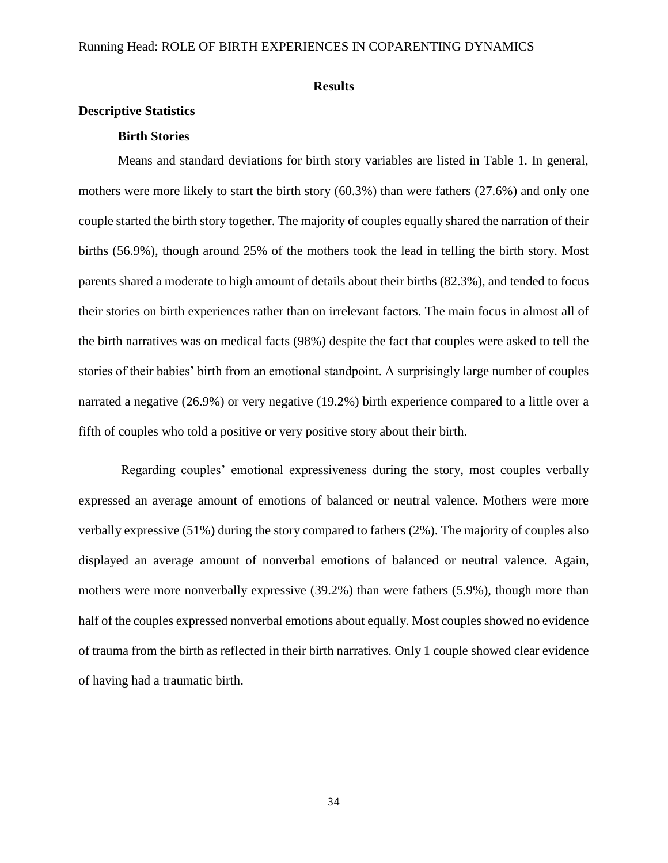#### **Results**

## **Descriptive Statistics**

## **Birth Stories**

Means and standard deviations for birth story variables are listed in Table 1. In general, mothers were more likely to start the birth story (60.3%) than were fathers (27.6%) and only one couple started the birth story together. The majority of couples equally shared the narration of their births (56.9%), though around 25% of the mothers took the lead in telling the birth story. Most parents shared a moderate to high amount of details about their births (82.3%), and tended to focus their stories on birth experiences rather than on irrelevant factors. The main focus in almost all of the birth narratives was on medical facts (98%) despite the fact that couples were asked to tell the stories of their babies' birth from an emotional standpoint. A surprisingly large number of couples narrated a negative (26.9%) or very negative (19.2%) birth experience compared to a little over a fifth of couples who told a positive or very positive story about their birth.

Regarding couples' emotional expressiveness during the story, most couples verbally expressed an average amount of emotions of balanced or neutral valence. Mothers were more verbally expressive (51%) during the story compared to fathers (2%). The majority of couples also displayed an average amount of nonverbal emotions of balanced or neutral valence. Again, mothers were more nonverbally expressive (39.2%) than were fathers (5.9%), though more than half of the couples expressed nonverbal emotions about equally. Most couples showed no evidence of trauma from the birth as reflected in their birth narratives. Only 1 couple showed clear evidence of having had a traumatic birth.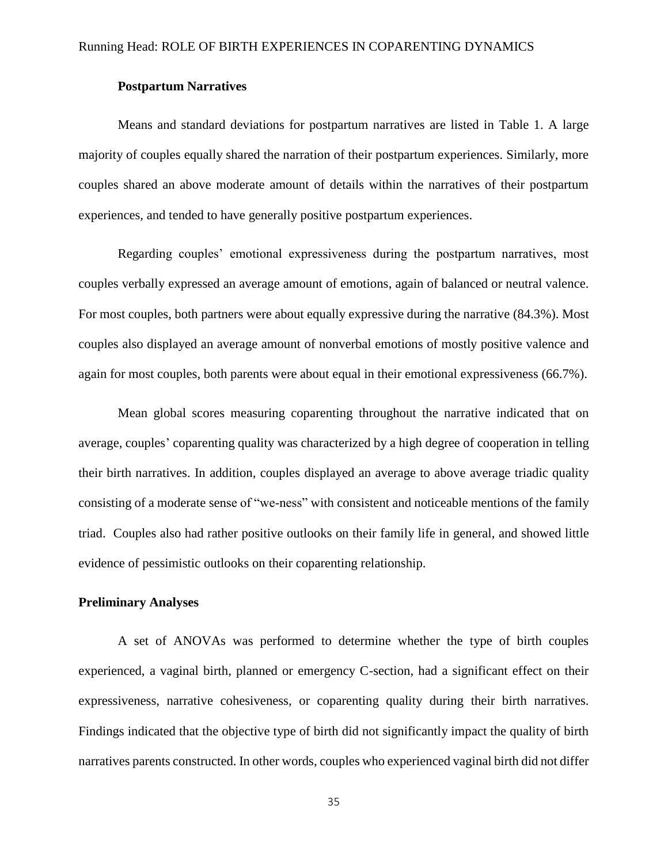## **Postpartum Narratives**

Means and standard deviations for postpartum narratives are listed in Table 1. A large majority of couples equally shared the narration of their postpartum experiences. Similarly, more couples shared an above moderate amount of details within the narratives of their postpartum experiences, and tended to have generally positive postpartum experiences.

Regarding couples' emotional expressiveness during the postpartum narratives, most couples verbally expressed an average amount of emotions, again of balanced or neutral valence. For most couples, both partners were about equally expressive during the narrative (84.3%). Most couples also displayed an average amount of nonverbal emotions of mostly positive valence and again for most couples, both parents were about equal in their emotional expressiveness (66.7%).

Mean global scores measuring coparenting throughout the narrative indicated that on average, couples' coparenting quality was characterized by a high degree of cooperation in telling their birth narratives. In addition, couples displayed an average to above average triadic quality consisting of a moderate sense of "we-ness" with consistent and noticeable mentions of the family triad. Couples also had rather positive outlooks on their family life in general, and showed little evidence of pessimistic outlooks on their coparenting relationship.

#### **Preliminary Analyses**

A set of ANOVAs was performed to determine whether the type of birth couples experienced, a vaginal birth, planned or emergency C-section, had a significant effect on their expressiveness, narrative cohesiveness, or coparenting quality during their birth narratives. Findings indicated that the objective type of birth did not significantly impact the quality of birth narratives parents constructed. In other words, couples who experienced vaginal birth did not differ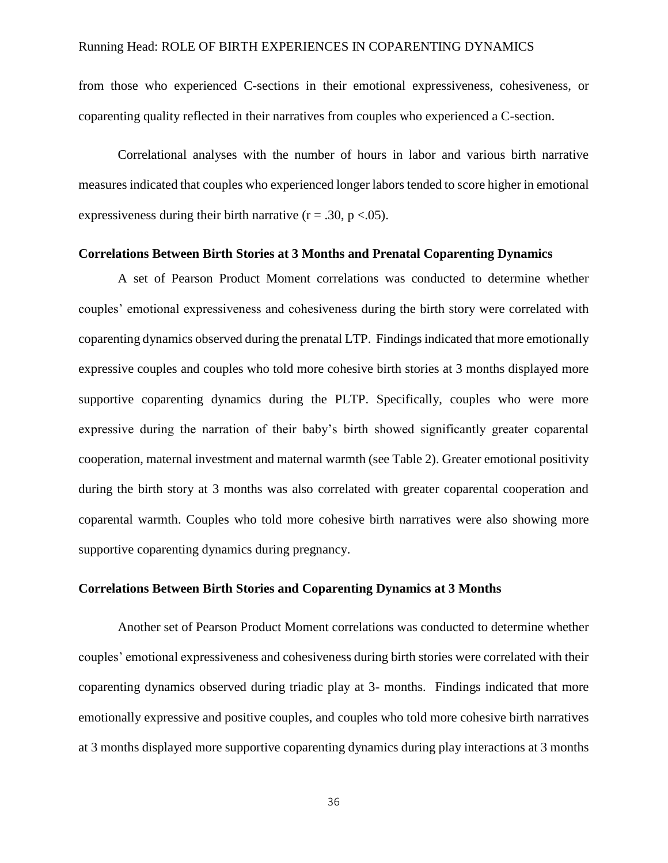from those who experienced C-sections in their emotional expressiveness, cohesiveness, or coparenting quality reflected in their narratives from couples who experienced a C-section.

Correlational analyses with the number of hours in labor and various birth narrative measures indicated that couples who experienced longer labors tended to score higher in emotional expressiveness during their birth narrative  $(r = .30, p < .05)$ .

## **Correlations Between Birth Stories at 3 Months and Prenatal Coparenting Dynamics**

A set of Pearson Product Moment correlations was conducted to determine whether couples' emotional expressiveness and cohesiveness during the birth story were correlated with coparenting dynamics observed during the prenatal LTP. Findings indicated that more emotionally expressive couples and couples who told more cohesive birth stories at 3 months displayed more supportive coparenting dynamics during the PLTP. Specifically, couples who were more expressive during the narration of their baby's birth showed significantly greater coparental cooperation, maternal investment and maternal warmth (see Table 2). Greater emotional positivity during the birth story at 3 months was also correlated with greater coparental cooperation and coparental warmth. Couples who told more cohesive birth narratives were also showing more supportive coparenting dynamics during pregnancy.

## **Correlations Between Birth Stories and Coparenting Dynamics at 3 Months**

Another set of Pearson Product Moment correlations was conducted to determine whether couples' emotional expressiveness and cohesiveness during birth stories were correlated with their coparenting dynamics observed during triadic play at 3- months. Findings indicated that more emotionally expressive and positive couples, and couples who told more cohesive birth narratives at 3 months displayed more supportive coparenting dynamics during play interactions at 3 months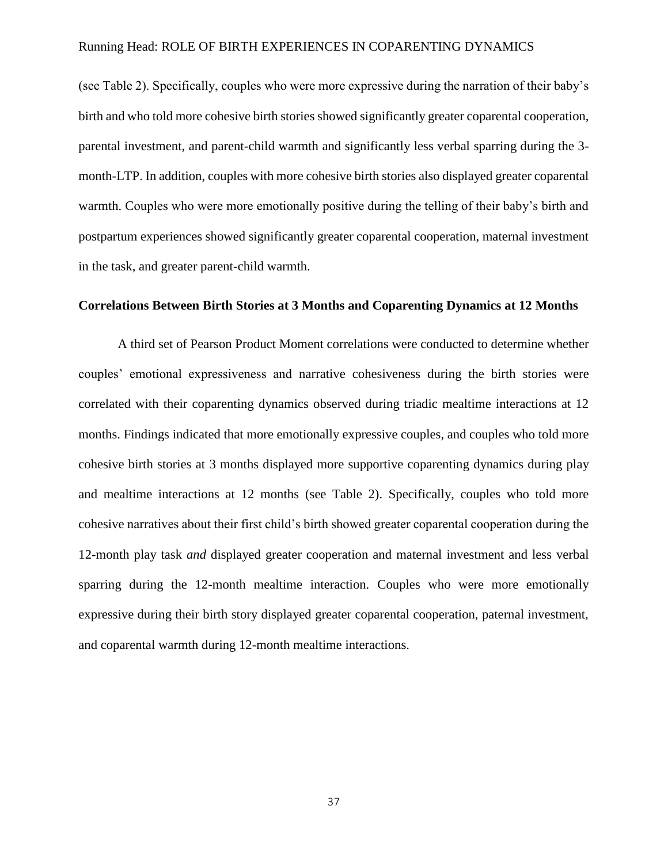(see Table 2). Specifically, couples who were more expressive during the narration of their baby's birth and who told more cohesive birth stories showed significantly greater coparental cooperation, parental investment, and parent-child warmth and significantly less verbal sparring during the 3 month-LTP. In addition, couples with more cohesive birth stories also displayed greater coparental warmth. Couples who were more emotionally positive during the telling of their baby's birth and postpartum experiences showed significantly greater coparental cooperation, maternal investment in the task, and greater parent-child warmth.

## **Correlations Between Birth Stories at 3 Months and Coparenting Dynamics at 12 Months**

A third set of Pearson Product Moment correlations were conducted to determine whether couples' emotional expressiveness and narrative cohesiveness during the birth stories were correlated with their coparenting dynamics observed during triadic mealtime interactions at 12 months. Findings indicated that more emotionally expressive couples, and couples who told more cohesive birth stories at 3 months displayed more supportive coparenting dynamics during play and mealtime interactions at 12 months (see Table 2). Specifically, couples who told more cohesive narratives about their first child's birth showed greater coparental cooperation during the 12-month play task *and* displayed greater cooperation and maternal investment and less verbal sparring during the 12-month mealtime interaction*.* Couples who were more emotionally expressive during their birth story displayed greater coparental cooperation, paternal investment, and coparental warmth during 12-month mealtime interactions.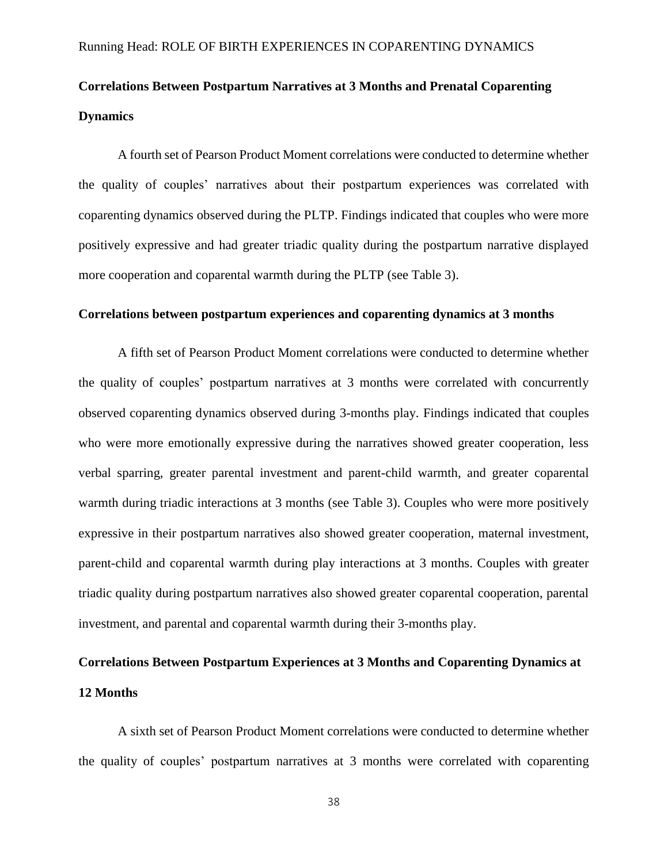## **Correlations Between Postpartum Narratives at 3 Months and Prenatal Coparenting Dynamics**

A fourth set of Pearson Product Moment correlations were conducted to determine whether the quality of couples' narratives about their postpartum experiences was correlated with coparenting dynamics observed during the PLTP. Findings indicated that couples who were more positively expressive and had greater triadic quality during the postpartum narrative displayed more cooperation and coparental warmth during the PLTP (see Table 3).

#### **Correlations between postpartum experiences and coparenting dynamics at 3 months**

A fifth set of Pearson Product Moment correlations were conducted to determine whether the quality of couples' postpartum narratives at 3 months were correlated with concurrently observed coparenting dynamics observed during 3-months play. Findings indicated that couples who were more emotionally expressive during the narratives showed greater cooperation, less verbal sparring, greater parental investment and parent-child warmth, and greater coparental warmth during triadic interactions at 3 months (see Table 3). Couples who were more positively expressive in their postpartum narratives also showed greater cooperation, maternal investment, parent-child and coparental warmth during play interactions at 3 months. Couples with greater triadic quality during postpartum narratives also showed greater coparental cooperation, parental investment, and parental and coparental warmth during their 3-months play.

## **Correlations Between Postpartum Experiences at 3 Months and Coparenting Dynamics at 12 Months**

A sixth set of Pearson Product Moment correlations were conducted to determine whether the quality of couples' postpartum narratives at 3 months were correlated with coparenting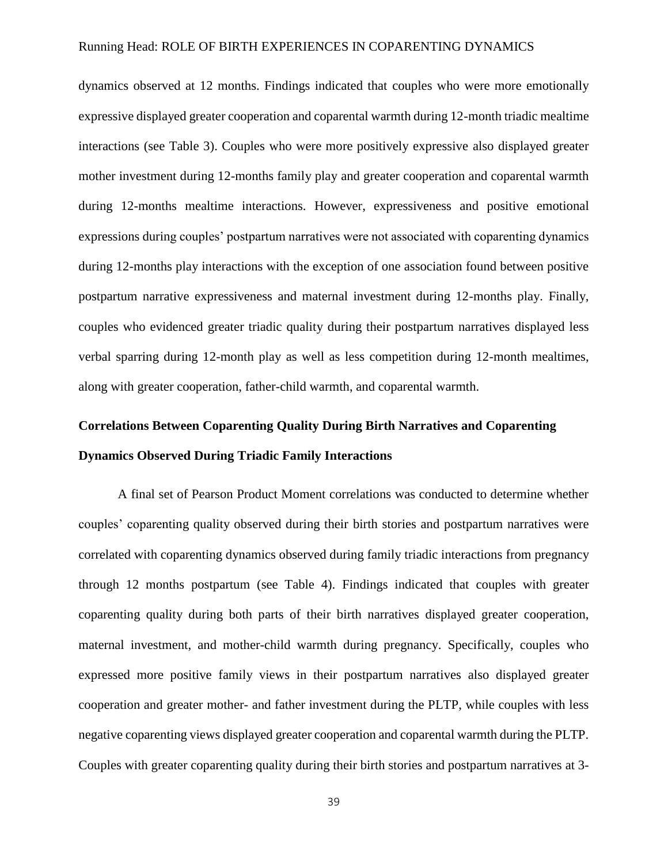dynamics observed at 12 months. Findings indicated that couples who were more emotionally expressive displayed greater cooperation and coparental warmth during 12-month triadic mealtime interactions (see Table 3). Couples who were more positively expressive also displayed greater mother investment during 12-months family play and greater cooperation and coparental warmth during 12-months mealtime interactions. However, expressiveness and positive emotional expressions during couples' postpartum narratives were not associated with coparenting dynamics during 12-months play interactions with the exception of one association found between positive postpartum narrative expressiveness and maternal investment during 12-months play. Finally, couples who evidenced greater triadic quality during their postpartum narratives displayed less verbal sparring during 12-month play as well as less competition during 12-month mealtimes, along with greater cooperation, father-child warmth, and coparental warmth.

# **Correlations Between Coparenting Quality During Birth Narratives and Coparenting Dynamics Observed During Triadic Family Interactions**

A final set of Pearson Product Moment correlations was conducted to determine whether couples' coparenting quality observed during their birth stories and postpartum narratives were correlated with coparenting dynamics observed during family triadic interactions from pregnancy through 12 months postpartum (see Table 4). Findings indicated that couples with greater coparenting quality during both parts of their birth narratives displayed greater cooperation, maternal investment, and mother-child warmth during pregnancy. Specifically, couples who expressed more positive family views in their postpartum narratives also displayed greater cooperation and greater mother- and father investment during the PLTP, while couples with less negative coparenting views displayed greater cooperation and coparental warmth during the PLTP. Couples with greater coparenting quality during their birth stories and postpartum narratives at 3-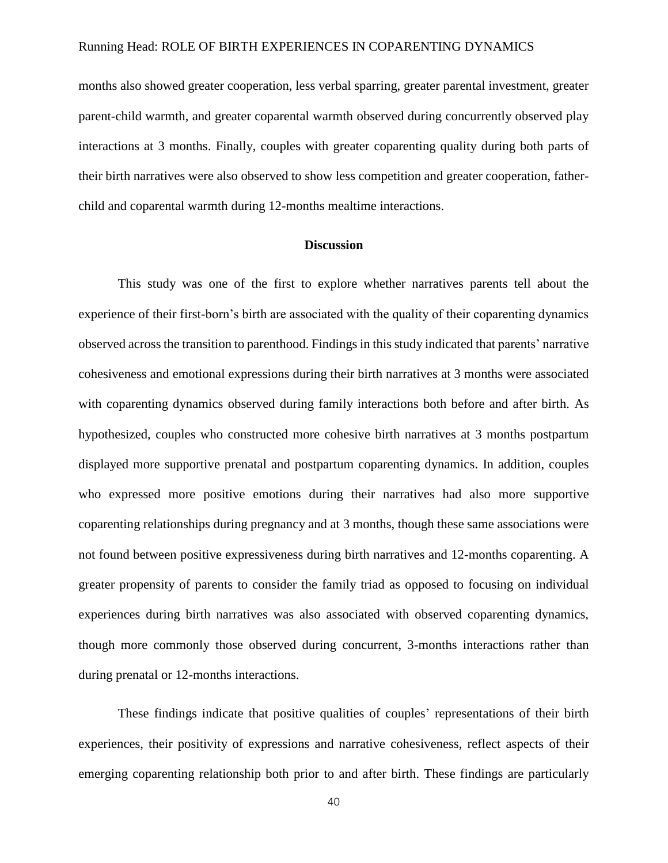months also showed greater cooperation, less verbal sparring, greater parental investment, greater parent-child warmth, and greater coparental warmth observed during concurrently observed play interactions at 3 months. Finally, couples with greater coparenting quality during both parts of their birth narratives were also observed to show less competition and greater cooperation, fatherchild and coparental warmth during 12-months mealtime interactions.

#### **Discussion**

This study was one of the first to explore whether narratives parents tell about the experience of their first-born's birth are associated with the quality of their coparenting dynamics observed across the transition to parenthood. Findings in this study indicated that parents' narrative cohesiveness and emotional expressions during their birth narratives at 3 months were associated with coparenting dynamics observed during family interactions both before and after birth. As hypothesized, couples who constructed more cohesive birth narratives at 3 months postpartum displayed more supportive prenatal and postpartum coparenting dynamics. In addition, couples who expressed more positive emotions during their narratives had also more supportive coparenting relationships during pregnancy and at 3 months, though these same associations were not found between positive expressiveness during birth narratives and 12-months coparenting. A greater propensity of parents to consider the family triad as opposed to focusing on individual experiences during birth narratives was also associated with observed coparenting dynamics, though more commonly those observed during concurrent, 3-months interactions rather than during prenatal or 12-months interactions.

These findings indicate that positive qualities of couples' representations of their birth experiences, their positivity of expressions and narrative cohesiveness, reflect aspects of their emerging coparenting relationship both prior to and after birth. These findings are particularly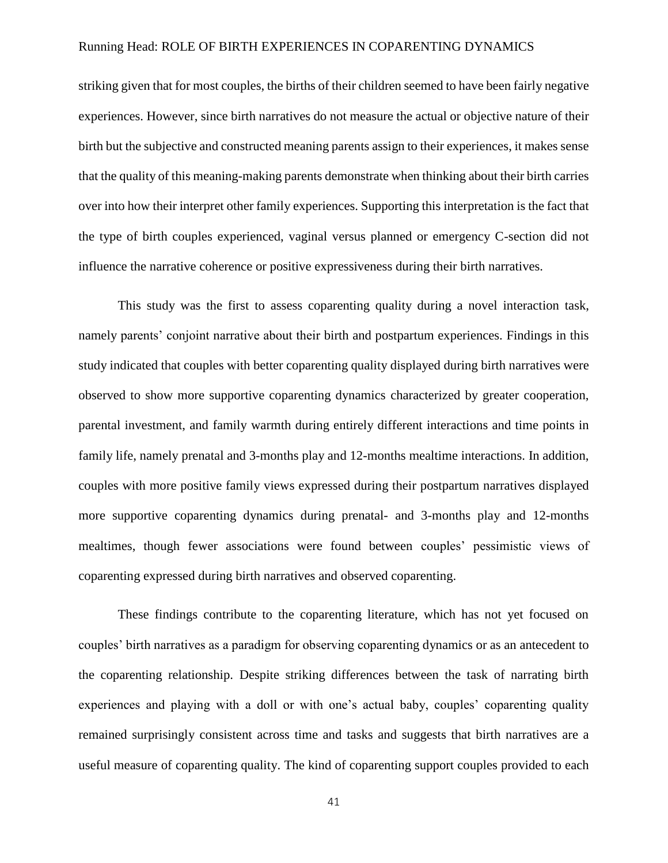striking given that for most couples, the births of their children seemed to have been fairly negative experiences. However, since birth narratives do not measure the actual or objective nature of their birth but the subjective and constructed meaning parents assign to their experiences, it makes sense that the quality of this meaning-making parents demonstrate when thinking about their birth carries over into how their interpret other family experiences. Supporting this interpretation is the fact that the type of birth couples experienced, vaginal versus planned or emergency C-section did not influence the narrative coherence or positive expressiveness during their birth narratives.

This study was the first to assess coparenting quality during a novel interaction task, namely parents' conjoint narrative about their birth and postpartum experiences. Findings in this study indicated that couples with better coparenting quality displayed during birth narratives were observed to show more supportive coparenting dynamics characterized by greater cooperation, parental investment, and family warmth during entirely different interactions and time points in family life, namely prenatal and 3-months play and 12-months mealtime interactions. In addition, couples with more positive family views expressed during their postpartum narratives displayed more supportive coparenting dynamics during prenatal- and 3-months play and 12-months mealtimes, though fewer associations were found between couples' pessimistic views of coparenting expressed during birth narratives and observed coparenting.

These findings contribute to the coparenting literature, which has not yet focused on couples' birth narratives as a paradigm for observing coparenting dynamics or as an antecedent to the coparenting relationship. Despite striking differences between the task of narrating birth experiences and playing with a doll or with one's actual baby, couples' coparenting quality remained surprisingly consistent across time and tasks and suggests that birth narratives are a useful measure of coparenting quality. The kind of coparenting support couples provided to each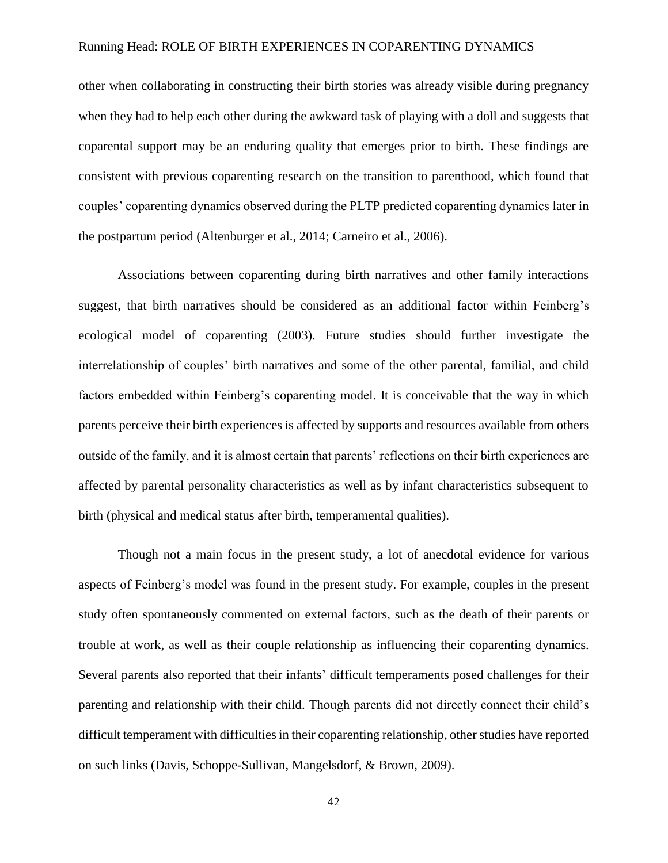other when collaborating in constructing their birth stories was already visible during pregnancy when they had to help each other during the awkward task of playing with a doll and suggests that coparental support may be an enduring quality that emerges prior to birth. These findings are consistent with previous coparenting research on the transition to parenthood, which found that couples' coparenting dynamics observed during the PLTP predicted coparenting dynamics later in the postpartum period (Altenburger et al., 2014; Carneiro et al., 2006).

Associations between coparenting during birth narratives and other family interactions suggest, that birth narratives should be considered as an additional factor within Feinberg's ecological model of coparenting (2003). Future studies should further investigate the interrelationship of couples' birth narratives and some of the other parental, familial, and child factors embedded within Feinberg's coparenting model. It is conceivable that the way in which parents perceive their birth experiences is affected by supports and resources available from others outside of the family, and it is almost certain that parents' reflections on their birth experiences are affected by parental personality characteristics as well as by infant characteristics subsequent to birth (physical and medical status after birth, temperamental qualities).

Though not a main focus in the present study, a lot of anecdotal evidence for various aspects of Feinberg's model was found in the present study. For example, couples in the present study often spontaneously commented on external factors, such as the death of their parents or trouble at work, as well as their couple relationship as influencing their coparenting dynamics. Several parents also reported that their infants' difficult temperaments posed challenges for their parenting and relationship with their child. Though parents did not directly connect their child's difficult temperament with difficulties in their coparenting relationship, other studies have reported on such links (Davis, Schoppe-Sullivan, Mangelsdorf, & Brown, 2009).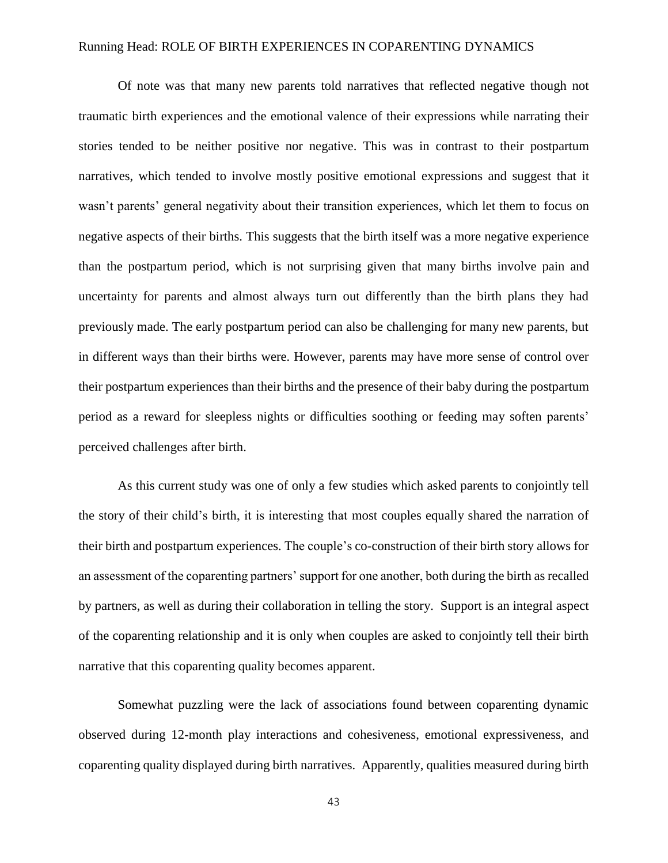Of note was that many new parents told narratives that reflected negative though not traumatic birth experiences and the emotional valence of their expressions while narrating their stories tended to be neither positive nor negative. This was in contrast to their postpartum narratives, which tended to involve mostly positive emotional expressions and suggest that it wasn't parents' general negativity about their transition experiences, which let them to focus on negative aspects of their births. This suggests that the birth itself was a more negative experience than the postpartum period, which is not surprising given that many births involve pain and uncertainty for parents and almost always turn out differently than the birth plans they had previously made. The early postpartum period can also be challenging for many new parents, but in different ways than their births were. However, parents may have more sense of control over their postpartum experiences than their births and the presence of their baby during the postpartum period as a reward for sleepless nights or difficulties soothing or feeding may soften parents' perceived challenges after birth.

As this current study was one of only a few studies which asked parents to conjointly tell the story of their child's birth, it is interesting that most couples equally shared the narration of their birth and postpartum experiences. The couple's co-construction of their birth story allows for an assessment of the coparenting partners' support for one another, both during the birth as recalled by partners, as well as during their collaboration in telling the story. Support is an integral aspect of the coparenting relationship and it is only when couples are asked to conjointly tell their birth narrative that this coparenting quality becomes apparent.

Somewhat puzzling were the lack of associations found between coparenting dynamic observed during 12-month play interactions and cohesiveness, emotional expressiveness, and coparenting quality displayed during birth narratives. Apparently, qualities measured during birth

43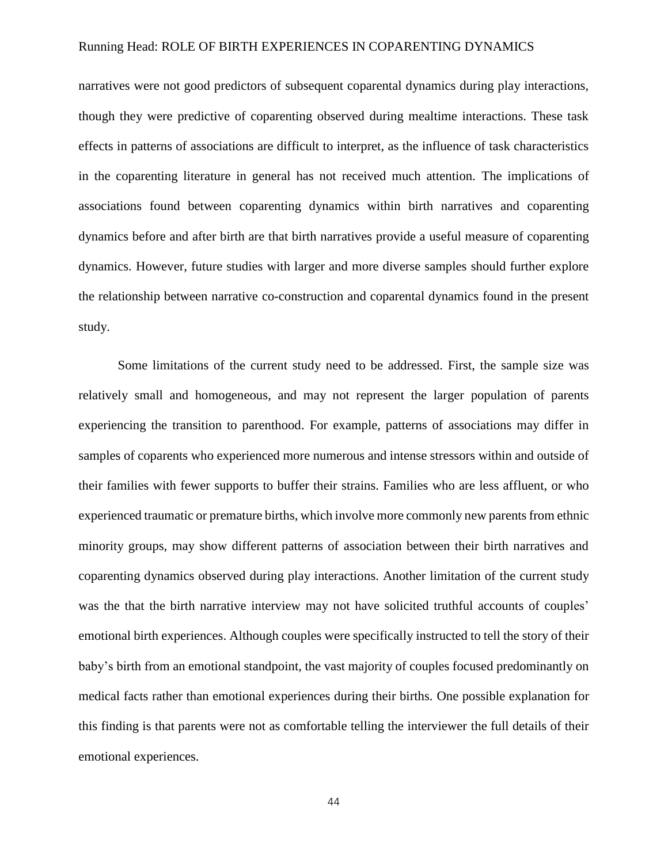narratives were not good predictors of subsequent coparental dynamics during play interactions, though they were predictive of coparenting observed during mealtime interactions. These task effects in patterns of associations are difficult to interpret, as the influence of task characteristics in the coparenting literature in general has not received much attention. The implications of associations found between coparenting dynamics within birth narratives and coparenting dynamics before and after birth are that birth narratives provide a useful measure of coparenting dynamics. However, future studies with larger and more diverse samples should further explore the relationship between narrative co-construction and coparental dynamics found in the present study.

Some limitations of the current study need to be addressed. First, the sample size was relatively small and homogeneous, and may not represent the larger population of parents experiencing the transition to parenthood. For example, patterns of associations may differ in samples of coparents who experienced more numerous and intense stressors within and outside of their families with fewer supports to buffer their strains. Families who are less affluent, or who experienced traumatic or premature births, which involve more commonly new parents from ethnic minority groups, may show different patterns of association between their birth narratives and coparenting dynamics observed during play interactions. Another limitation of the current study was the that the birth narrative interview may not have solicited truthful accounts of couples' emotional birth experiences. Although couples were specifically instructed to tell the story of their baby's birth from an emotional standpoint, the vast majority of couples focused predominantly on medical facts rather than emotional experiences during their births. One possible explanation for this finding is that parents were not as comfortable telling the interviewer the full details of their emotional experiences.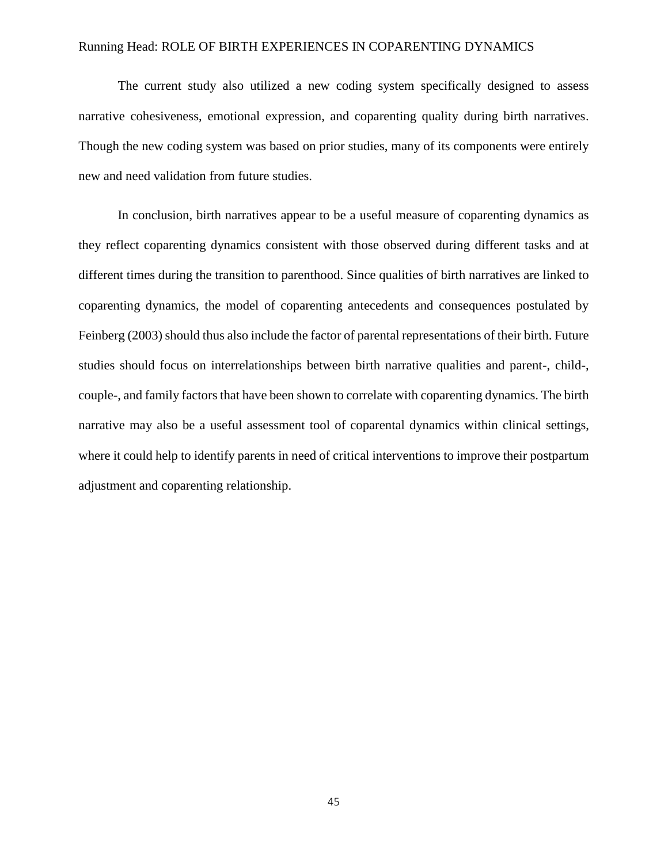The current study also utilized a new coding system specifically designed to assess narrative cohesiveness, emotional expression, and coparenting quality during birth narratives. Though the new coding system was based on prior studies, many of its components were entirely new and need validation from future studies.

In conclusion, birth narratives appear to be a useful measure of coparenting dynamics as they reflect coparenting dynamics consistent with those observed during different tasks and at different times during the transition to parenthood. Since qualities of birth narratives are linked to coparenting dynamics, the model of coparenting antecedents and consequences postulated by Feinberg (2003) should thus also include the factor of parental representations of their birth. Future studies should focus on interrelationships between birth narrative qualities and parent-, child-, couple-, and family factors that have been shown to correlate with coparenting dynamics. The birth narrative may also be a useful assessment tool of coparental dynamics within clinical settings, where it could help to identify parents in need of critical interventions to improve their postpartum adjustment and coparenting relationship.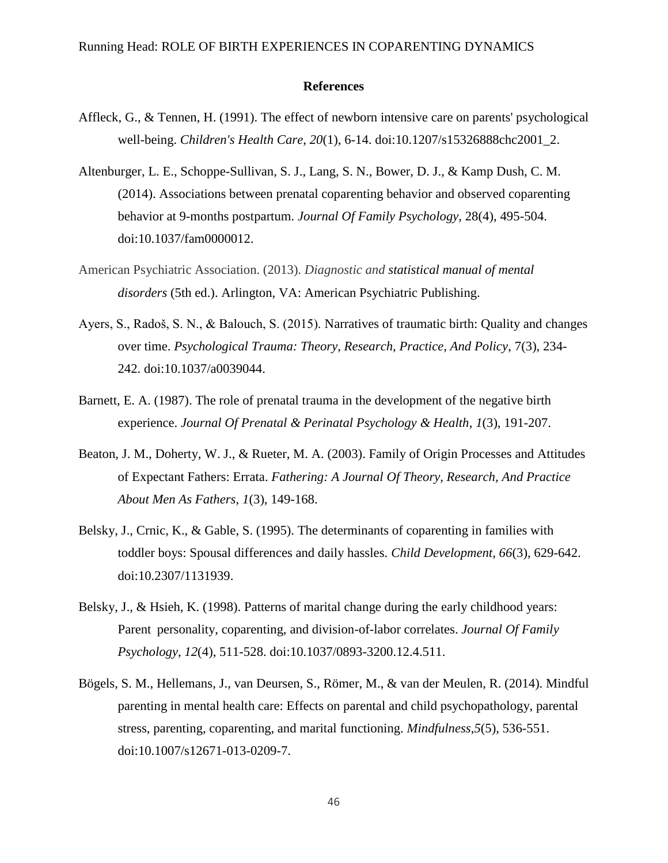#### **References**

- Affleck, G., & Tennen, H. (1991). The effect of newborn intensive care on parents' psychological well-being. *Children's Health Care*, *20*(1), 6-14. doi:10.1207/s15326888chc2001\_2.
- Altenburger, L. E., Schoppe-Sullivan, S. J., Lang, S. N., Bower, D. J., & Kamp Dush, C. M. (2014). Associations between prenatal coparenting behavior and observed coparenting behavior at 9-months postpartum. *Journal Of Family Psychology*, 28(4), 495-504. doi:10.1037/fam0000012.
- American Psychiatric Association. (2013). *Diagnostic and statistical manual of mental disorders* (5th ed.). Arlington, VA: American Psychiatric Publishing.
- Ayers, S., Radoš, S. N., & Balouch, S. (2015). Narratives of traumatic birth: Quality and changes over time. *Psychological Trauma: Theory, Research, Practice, And Policy*, 7(3), 234- 242. doi:10.1037/a0039044.
- Barnett, E. A. (1987). The role of prenatal trauma in the development of the negative birth experience. *Journal Of Prenatal & Perinatal Psychology & Health*, *1*(3), 191-207.
- Beaton, J. M., Doherty, W. J., & Rueter, M. A. (2003). Family of Origin Processes and Attitudes of Expectant Fathers: Errata. *Fathering: A Journal Of Theory, Research, And Practice About Men As Fathers*, *1*(3), 149-168.
- Belsky, J., Crnic, K., & Gable, S. (1995). The determinants of coparenting in families with toddler boys: Spousal differences and daily hassles. *Child Development*, *66*(3), 629-642. doi:10.2307/1131939.
- Belsky, J., & Hsieh, K. (1998). Patterns of marital change during the early childhood years: Parent personality, coparenting, and division-of-labor correlates. *Journal Of Family Psychology*, *12*(4), 511-528. doi:10.1037/0893-3200.12.4.511.
- Bögels, S. M., Hellemans, J., van Deursen, S., Römer, M., & van der Meulen, R. (2014). Mindful parenting in mental health care: Effects on parental and child psychopathology, parental stress, parenting, coparenting, and marital functioning. *Mindfulness*,*5*(5), 536-551. doi:10.1007/s12671-013-0209-7.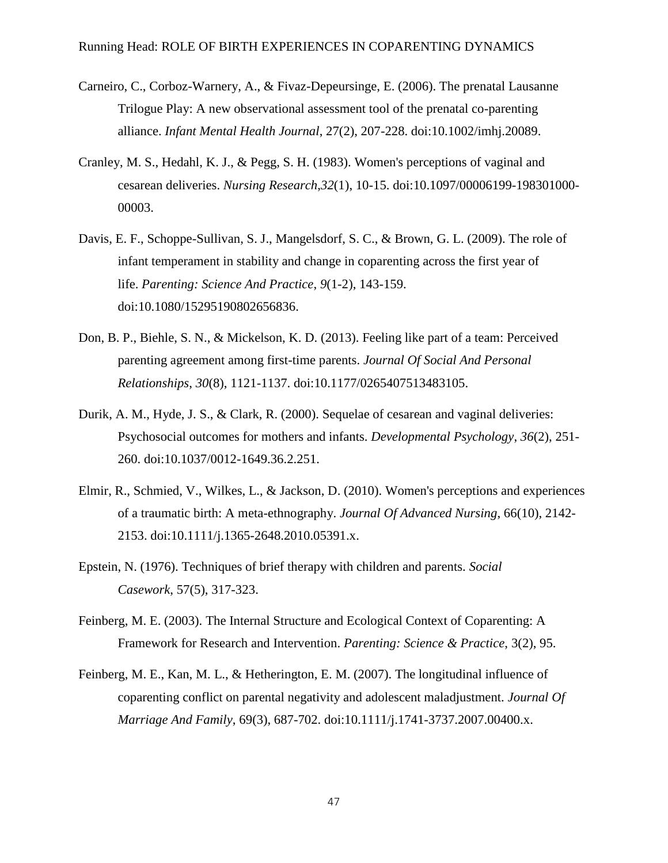- Carneiro, C., Corboz-Warnery, A., & Fivaz-Depeursinge, E. (2006). The prenatal Lausanne Trilogue Play: A new observational assessment tool of the prenatal co-parenting alliance. *Infant Mental Health Journal*, 27(2), 207-228. doi:10.1002/imhj.20089.
- Cranley, M. S., Hedahl, K. J., & Pegg, S. H. (1983). Women's perceptions of vaginal and cesarean deliveries. *Nursing Research*,*32*(1), 10-15. doi:10.1097/00006199-198301000- 00003.
- Davis, E. F., Schoppe-Sullivan, S. J., Mangelsdorf, S. C., & Brown, G. L. (2009). The role of infant temperament in stability and change in coparenting across the first year of life. *Parenting: Science And Practice*, *9*(1-2), 143-159. doi:10.1080/15295190802656836.
- Don, B. P., Biehle, S. N., & Mickelson, K. D. (2013). Feeling like part of a team: Perceived parenting agreement among first-time parents. *Journal Of Social And Personal Relationships*, *30*(8), 1121-1137. doi:10.1177/0265407513483105.
- Durik, A. M., Hyde, J. S., & Clark, R. (2000). Sequelae of cesarean and vaginal deliveries: Psychosocial outcomes for mothers and infants. *Developmental Psychology*, *36*(2), 251- 260. doi:10.1037/0012-1649.36.2.251.
- Elmir, R., Schmied, V., Wilkes, L., & Jackson, D. (2010). Women's perceptions and experiences of a traumatic birth: A meta-ethnography. *Journal Of Advanced Nursing*, 66(10), 2142- 2153. doi:10.1111/j.1365-2648.2010.05391.x.
- Epstein, N. (1976). Techniques of brief therapy with children and parents. *Social Casework*, 57(5), 317-323.
- Feinberg, M. E. (2003). The Internal Structure and Ecological Context of Coparenting: A Framework for Research and Intervention. *Parenting: Science & Practice*, 3(2), 95.
- Feinberg, M. E., Kan, M. L., & Hetherington, E. M. (2007). The longitudinal influence of coparenting conflict on parental negativity and adolescent maladjustment. *Journal Of Marriage And Family*, 69(3), 687-702. doi:10.1111/j.1741-3737.2007.00400.x.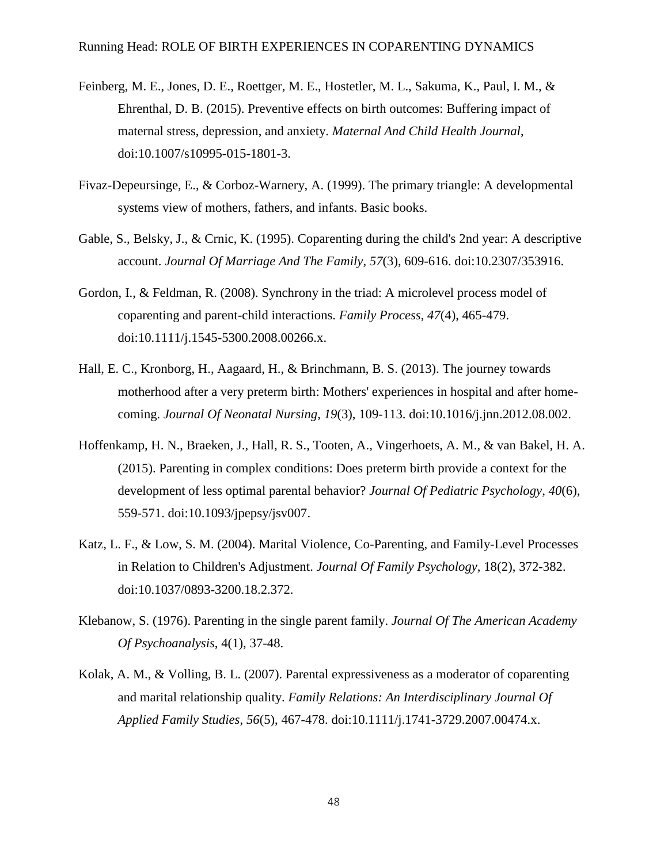- Feinberg, M. E., Jones, D. E., Roettger, M. E., Hostetler, M. L., Sakuma, K., Paul, I. M., & Ehrenthal, D. B. (2015). Preventive effects on birth outcomes: Buffering impact of maternal stress, depression, and anxiety. *Maternal And Child Health Journal*, doi:10.1007/s10995-015-1801-3.
- Fivaz-Depeursinge, E., & Corboz-Warnery, A. (1999). The primary triangle: A developmental systems view of mothers, fathers, and infants. Basic books.
- Gable, S., Belsky, J., & Crnic, K. (1995). Coparenting during the child's 2nd year: A descriptive account. *Journal Of Marriage And The Family*, *57*(3), 609-616. doi:10.2307/353916.
- Gordon, I., & Feldman, R. (2008). Synchrony in the triad: A microlevel process model of coparenting and parent-child interactions. *Family Process*, *47*(4), 465-479. doi:10.1111/j.1545-5300.2008.00266.x.
- Hall, E. C., Kronborg, H., Aagaard, H., & Brinchmann, B. S. (2013). The journey towards motherhood after a very preterm birth: Mothers' experiences in hospital and after homecoming. *Journal Of Neonatal Nursing*, *19*(3), 109-113. doi:10.1016/j.jnn.2012.08.002.
- Hoffenkamp, H. N., Braeken, J., Hall, R. S., Tooten, A., Vingerhoets, A. M., & van Bakel, H. A. (2015). Parenting in complex conditions: Does preterm birth provide a context for the development of less optimal parental behavior? *Journal Of Pediatric Psychology*, *40*(6), 559-571. doi:10.1093/jpepsy/jsv007.
- Katz, L. F., & Low, S. M. (2004). Marital Violence, Co-Parenting, and Family-Level Processes in Relation to Children's Adjustment. *Journal Of Family Psychology*, 18(2), 372-382. doi:10.1037/0893-3200.18.2.372.
- Klebanow, S. (1976). Parenting in the single parent family. *Journal Of The American Academy Of Psychoanalysis*, 4(1), 37-48.
- Kolak, A. M., & Volling, B. L. (2007). Parental expressiveness as a moderator of coparenting and marital relationship quality. *Family Relations: An Interdisciplinary Journal Of Applied Family Studies*, *56*(5), 467-478. doi:10.1111/j.1741-3729.2007.00474.x.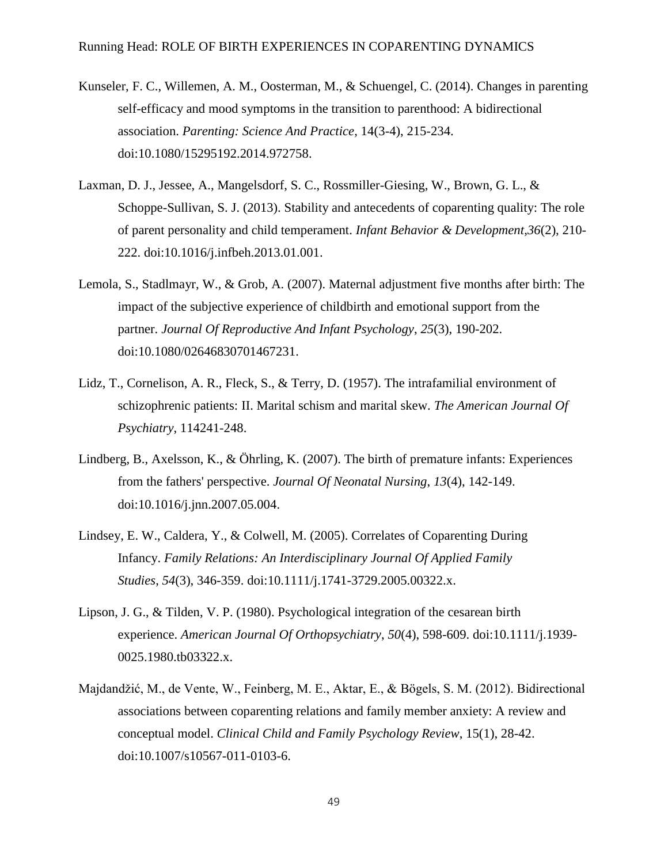- Kunseler, F. C., Willemen, A. M., Oosterman, M., & Schuengel, C. (2014). Changes in parenting self-efficacy and mood symptoms in the transition to parenthood: A bidirectional association. *Parenting: Science And Practice*, 14(3-4), 215-234. doi:10.1080/15295192.2014.972758.
- Laxman, D. J., Jessee, A., Mangelsdorf, S. C., Rossmiller-Giesing, W., Brown, G. L., & Schoppe-Sullivan, S. J. (2013). Stability and antecedents of coparenting quality: The role of parent personality and child temperament. *Infant Behavior & Development*,*36*(2), 210- 222. doi:10.1016/j.infbeh.2013.01.001.
- Lemola, S., Stadlmayr, W., & Grob, A. (2007). Maternal adjustment five months after birth: The impact of the subjective experience of childbirth and emotional support from the partner. *Journal Of Reproductive And Infant Psychology*, *25*(3), 190-202. doi:10.1080/02646830701467231.
- Lidz, T., Cornelison, A. R., Fleck, S., & Terry, D. (1957). The intrafamilial environment of schizophrenic patients: II. Marital schism and marital skew. *The American Journal Of Psychiatry*, 114241-248.
- Lindberg, B., Axelsson, K., & Öhrling, K. (2007). The birth of premature infants: Experiences from the fathers' perspective. *Journal Of Neonatal Nursing*, *13*(4), 142-149. doi:10.1016/j.jnn.2007.05.004.
- Lindsey, E. W., Caldera, Y., & Colwell, M. (2005). Correlates of Coparenting During Infancy. *Family Relations: An Interdisciplinary Journal Of Applied Family Studies*, *54*(3), 346-359. doi:10.1111/j.1741-3729.2005.00322.x.
- Lipson, J. G., & Tilden, V. P. (1980). Psychological integration of the cesarean birth experience. *American Journal Of Orthopsychiatry*, *50*(4), 598-609. doi:10.1111/j.1939- 0025.1980.tb03322.x.
- Majdandžić, M., de Vente, W., Feinberg, M. E., Aktar, E., & Bögels, S. M. (2012). Bidirectional associations between coparenting relations and family member anxiety: A review and conceptual model. *Clinical Child and Family Psychology Review*, 15(1), 28-42. doi:10.1007/s10567-011-0103-6.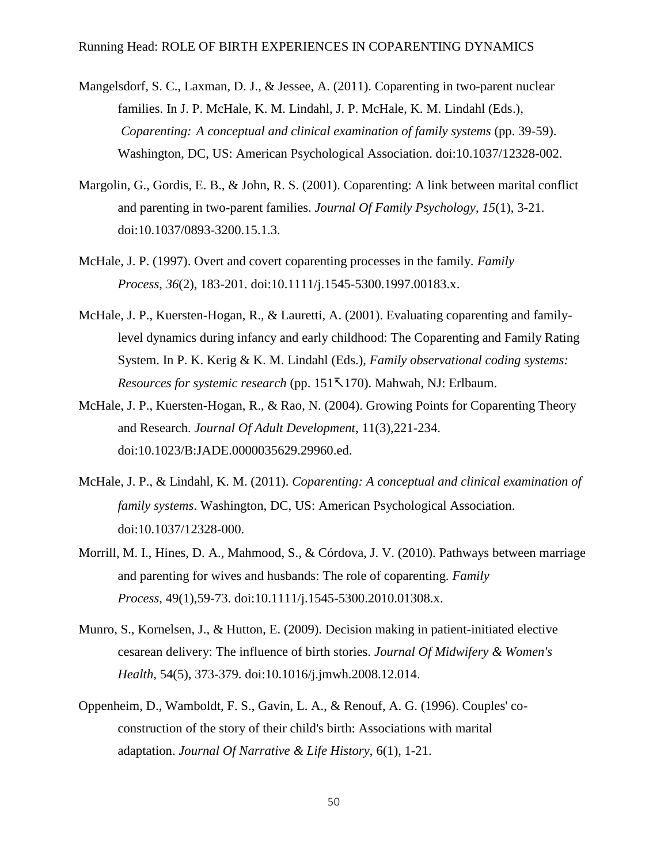- Mangelsdorf, S. C., Laxman, D. J., & Jessee, A. (2011). Coparenting in two-parent nuclear families. In J. P. McHale, K. M. Lindahl, J. P. McHale, K. M. Lindahl (Eds.), *Coparenting: A conceptual and clinical examination of family systems* (pp. 39-59). Washington, DC, US: American Psychological Association. doi:10.1037/12328-002.
- Margolin, G., Gordis, E. B., & John, R. S. (2001). Coparenting: A link between marital conflict and parenting in two-parent families. *Journal Of Family Psychology*, *15*(1), 3-21. doi:10.1037/0893-3200.15.1.3.
- McHale, J. P. (1997). Overt and covert coparenting processes in the family. *Family Process*, *36*(2), 183-201. doi:10.1111/j.1545-5300.1997.00183.x.
- McHale, J. P., Kuersten-Hogan, R., & Lauretti, A. (2001). Evaluating coparenting and familylevel dynamics during infancy and early childhood: The Coparenting and Family Rating System. In P. K. Kerig & K. M. Lindahl (Eds.), *Family observational coding systems: Resources for systemic research* (pp. 151 $\overline{\phantom{1}}$ 170). Mahwah, NJ: Erlbaum.
- McHale, J. P., Kuersten-Hogan, R., & Rao, N. (2004). Growing Points for Coparenting Theory and Research. *Journal Of Adult Development*, 11(3),221-234. doi:10.1023/B:JADE.0000035629.29960.ed.
- McHale, J. P., & Lindahl, K. M. (2011). *Coparenting: A conceptual and clinical examination of family systems*. Washington, DC, US: American Psychological Association. doi:10.1037/12328-000.
- Morrill, M. I., Hines, D. A., Mahmood, S., & Córdova, J. V. (2010). Pathways between marriage and parenting for wives and husbands: The role of coparenting. *Family Process*, 49(1),59-73. doi:10.1111/j.1545-5300.2010.01308.x.
- Munro, S., Kornelsen, J., & Hutton, E. (2009). Decision making in patient-initiated elective cesarean delivery: The influence of birth stories. *Journal Of Midwifery & Women's Health*, 54(5), 373-379. doi:10.1016/j.jmwh.2008.12.014.
- Oppenheim, D., Wamboldt, F. S., Gavin, L. A., & Renouf, A. G. (1996). Couples' coconstruction of the story of their child's birth: Associations with marital adaptation. *Journal Of Narrative & Life History*, 6(1), 1-21.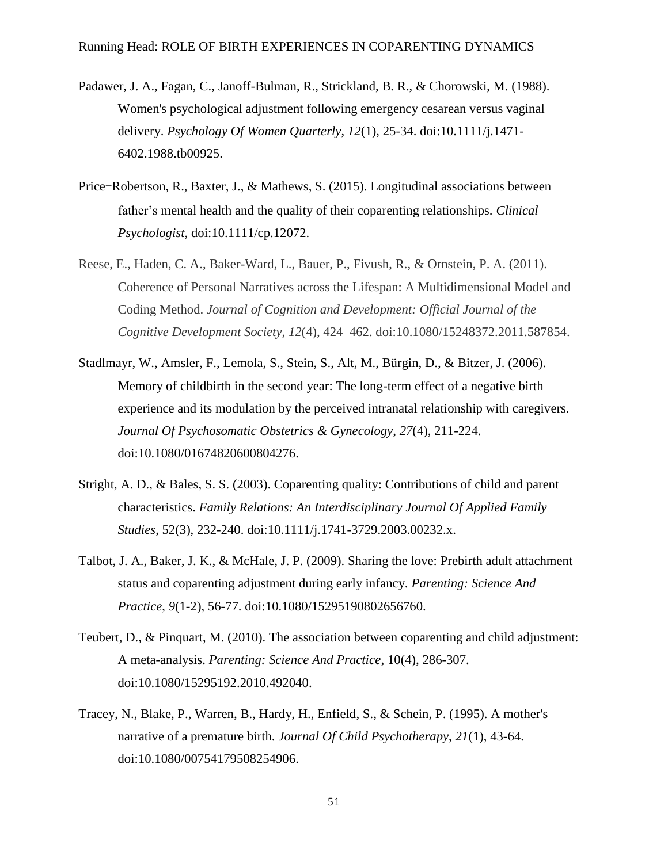- Padawer, J. A., Fagan, C., Janoff-Bulman, R., Strickland, B. R., & Chorowski, M. (1988). Women's psychological adjustment following emergency cesarean versus vaginal delivery. *Psychology Of Women Quarterly*, *12*(1), 25-34. doi:10.1111/j.1471- 6402.1988.tb00925.
- Price-Robertson, R., Baxter, J., & Mathews, S. (2015). Longitudinal associations between father's mental health and the quality of their coparenting relationships. *Clinical Psychologist*, doi:10.1111/cp.12072.
- Reese, E., Haden, C. A., Baker-Ward, L., Bauer, P., Fivush, R., & Ornstein, P. A. (2011). Coherence of Personal Narratives across the Lifespan: A Multidimensional Model and Coding Method. *Journal of Cognition and Development: Official Journal of the Cognitive Development Society*, *12*(4), 424–462. doi:10.1080/15248372.2011.587854.
- Stadlmayr, W., Amsler, F., Lemola, S., Stein, S., Alt, M., Bürgin, D., & Bitzer, J. (2006). Memory of childbirth in the second year: The long-term effect of a negative birth experience and its modulation by the perceived intranatal relationship with caregivers. *Journal Of Psychosomatic Obstetrics & Gynecology*, *27*(4), 211-224. doi:10.1080/01674820600804276.
- Stright, A. D., & Bales, S. S. (2003). Coparenting quality: Contributions of child and parent characteristics. *Family Relations: An Interdisciplinary Journal Of Applied Family Studies*, 52(3), 232-240. doi:10.1111/j.1741-3729.2003.00232.x.
- Talbot, J. A., Baker, J. K., & McHale, J. P. (2009). Sharing the love: Prebirth adult attachment status and coparenting adjustment during early infancy. *Parenting: Science And Practice*, *9*(1-2), 56-77. doi:10.1080/15295190802656760.
- Teubert, D., & Pinquart, M. (2010). The association between coparenting and child adjustment: A meta-analysis. *Parenting: Science And Practice*, 10(4), 286-307. doi:10.1080/15295192.2010.492040.
- Tracey, N., Blake, P., Warren, B., Hardy, H., Enfield, S., & Schein, P. (1995). A mother's narrative of a premature birth. *Journal Of Child Psychotherapy*, *21*(1), 43-64. doi:10.1080/00754179508254906.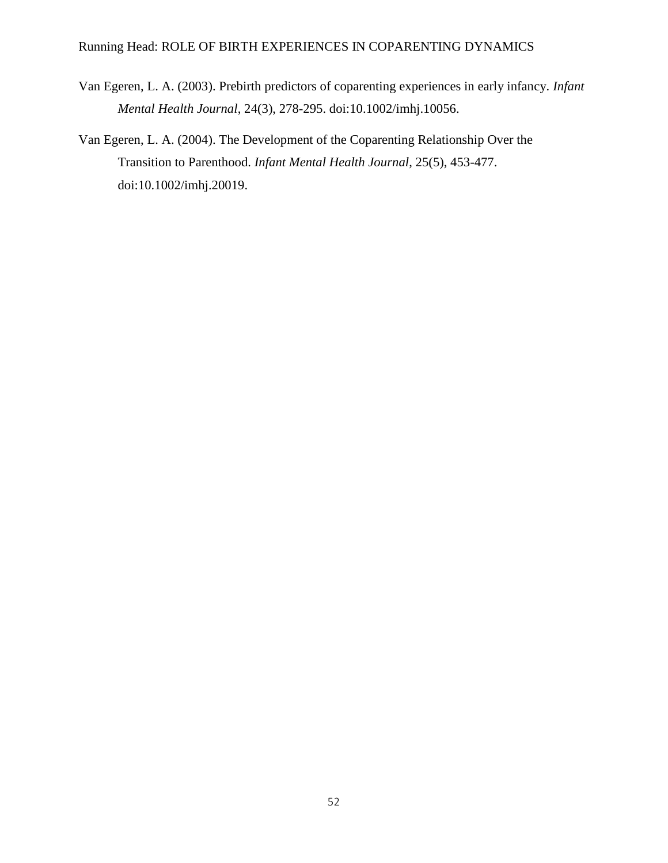- Van Egeren, L. A. (2003). Prebirth predictors of coparenting experiences in early infancy. *Infant Mental Health Journal*, 24(3), 278-295. doi:10.1002/imhj.10056.
- Van Egeren, L. A. (2004). The Development of the Coparenting Relationship Over the Transition to Parenthood. *Infant Mental Health Journal*, 25(5), 453-477. doi:10.1002/imhj.20019.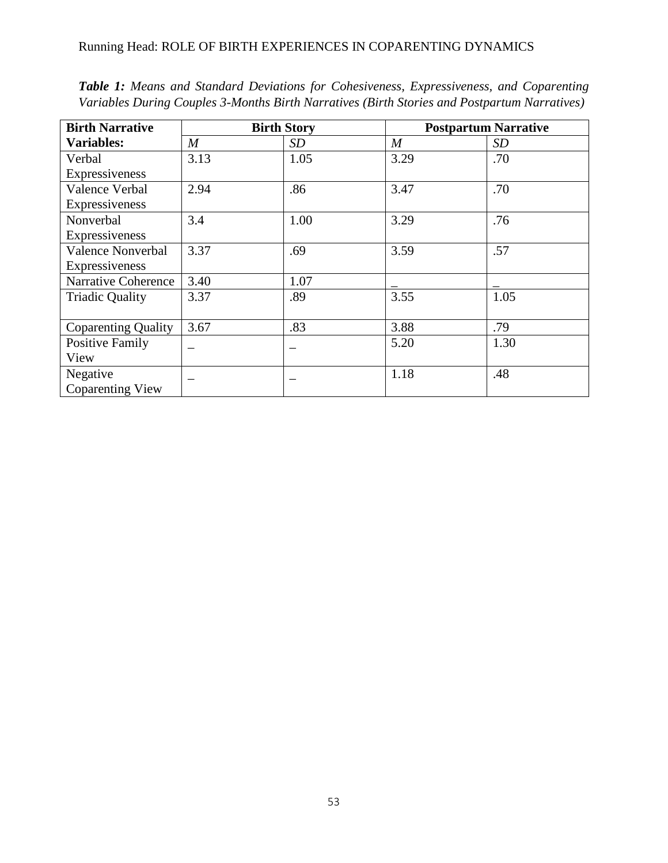| <b>Birth Narrative</b>     | <b>Birth Story</b> |      |                  | <b>Postpartum Narrative</b> |  |  |
|----------------------------|--------------------|------|------------------|-----------------------------|--|--|
| <b>Variables:</b>          | $\boldsymbol{M}$   | SD   | $\boldsymbol{M}$ | <i>SD</i>                   |  |  |
| Verbal                     | 3.13               | 1.05 | 3.29             | .70                         |  |  |
| Expressiveness             |                    |      |                  |                             |  |  |
| Valence Verbal             | 2.94               | .86  | 3.47             | .70                         |  |  |
| Expressiveness             |                    |      |                  |                             |  |  |
| Nonverbal                  | 3.4                | 1.00 | 3.29             | .76                         |  |  |
| Expressiveness             |                    |      |                  |                             |  |  |
| <b>Valence Nonverbal</b>   | 3.37               | .69  | 3.59             | .57                         |  |  |
| Expressiveness             |                    |      |                  |                             |  |  |
| <b>Narrative Coherence</b> | 3.40               | 1.07 |                  |                             |  |  |
| <b>Triadic Quality</b>     | 3.37               | .89  | 3.55             | 1.05                        |  |  |
|                            |                    |      |                  |                             |  |  |
| <b>Coparenting Quality</b> | 3.67               | .83  | 3.88             | .79                         |  |  |
| <b>Positive Family</b>     |                    |      | 5.20             | 1.30                        |  |  |
| View                       |                    |      |                  |                             |  |  |
| Negative                   |                    |      | 1.18             | .48                         |  |  |
| <b>Coparenting View</b>    |                    |      |                  |                             |  |  |

*Table 1: Means and Standard Deviations for Cohesiveness, Expressiveness, and Coparenting Variables During Couples 3-Months Birth Narratives (Birth Stories and Postpartum Narratives)*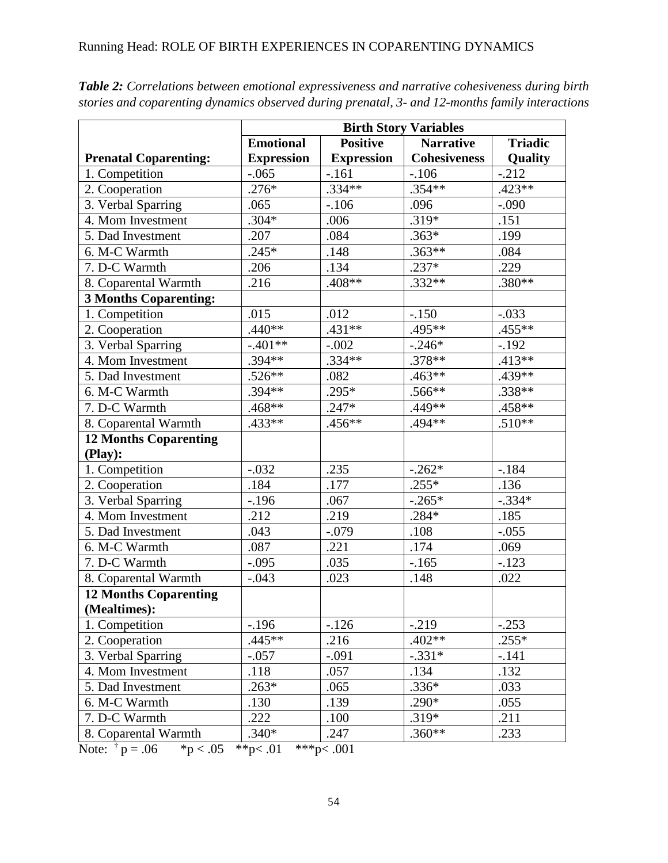|                              | <b>Birth Story Variables</b> |                   |                     |                |
|------------------------------|------------------------------|-------------------|---------------------|----------------|
|                              | <b>Emotional</b>             | <b>Positive</b>   | <b>Narrative</b>    | <b>Triadic</b> |
| <b>Prenatal Coparenting:</b> | <b>Expression</b>            | <b>Expression</b> | <b>Cohesiveness</b> | Quality        |
| 1. Competition               | $-.065$                      | $-.161$           | $-.106$             | $-.212$        |
| 2. Cooperation               | $.276*$                      | $.334**$          | $.354**$            | $.423**$       |
| 3. Verbal Sparring           | .065                         | $-106$            | .096                | $-.090$        |
| 4. Mom Investment            | $.304*$                      | .006              | $.319*$             | .151           |
| 5. Dad Investment            | .207                         | .084              | $.363*$             | .199           |
| 6. M-C Warmth                | $.245*$                      | .148              | $.363**$            | .084           |
| 7. D-C Warmth                | .206                         | .134              | $.237*$             | .229           |
| 8. Coparental Warmth         | .216                         | $.408**$          | $.332**$            | $.380**$       |
| <b>3 Months Coparenting:</b> |                              |                   |                     |                |
| 1. Competition               | .015                         | .012              | $-.150$             | $-.033$        |
| 2. Cooperation               | $.440**$                     | $.431**$          | $.495**$            | $.455**$       |
| 3. Verbal Sparring           | $-.401**$                    | $-.002$           | $-.246*$            | $-.192$        |
| 4. Mom Investment            | $.394**$                     | $.334**$          | .378**              | $.413**$       |
| 5. Dad Investment            | $.526**$                     | .082              | $.463**$            | $.439**$       |
| 6. M-C Warmth                | $.394**$                     | $.295*$           | $.566**$            | $.338**$       |
| 7. D-C Warmth                | $.468**$                     | $.247*$           | $.449**$            | $.458**$       |
| 8. Coparental Warmth         | $.433**$                     | $.456**$          | $.494**$            | $.510**$       |
| <b>12 Months Coparenting</b> |                              |                   |                     |                |
| (Play):                      |                              |                   |                     |                |
| 1. Competition               | $-.032$                      | .235              | $-.262*$            | $-.184$        |
| 2. Cooperation               | .184                         | .177              | $.255*$             | .136           |
| 3. Verbal Sparring           | $-.196$                      | .067              | $-.265*$            | $-.334*$       |
| 4. Mom Investment            | .212                         | .219              | $.284*$             | .185           |
| 5. Dad Investment            | .043                         | $-.079$           | .108                | $-.055$        |
| 6. M-C Warmth                | .087                         | .221              | .174                | .069           |
| 7. D-C Warmth                | $-.095$                      | .035              | $-.165$             | $-.123$        |
| 8. Coparental Warmth         | $-.043$                      | .023              | .148                | .022           |
| <b>12 Months Coparenting</b> |                              |                   |                     |                |
| (Mealtimes):                 |                              |                   |                     |                |
| 1. Competition               | $-.196$                      | $-126$            | $-.219$             | $-.253$        |
| 2. Cooperation               | $.445**$                     | .216              | $.402**$            | $.255*$        |
| 3. Verbal Sparring           | $-.057$                      | $-.091$           | $-.331*$            | $-.141$        |
| 4. Mom Investment            | .118                         | .057              | .134                | .132           |
| 5. Dad Investment            | $.263*$                      | .065              | $.336*$             | .033           |
| 6. M-C Warmth                | .130                         | .139              | $.290*$             | .055           |
| 7. D-C Warmth                | .222                         | .100              | $.319*$             | .211           |
| 8. Coparental Warmth         | $.340*$                      | .247              | $.360**$            | .233           |

*Table 2: Correlations between emotional expressiveness and narrative cohesiveness during birth stories and coparenting dynamics observed during prenatal, 3- and 12-months family interactions*

Note:  $\dagger p = .06$  \*  $p < .05$  \* \* p< .01 \* \* \* p< .001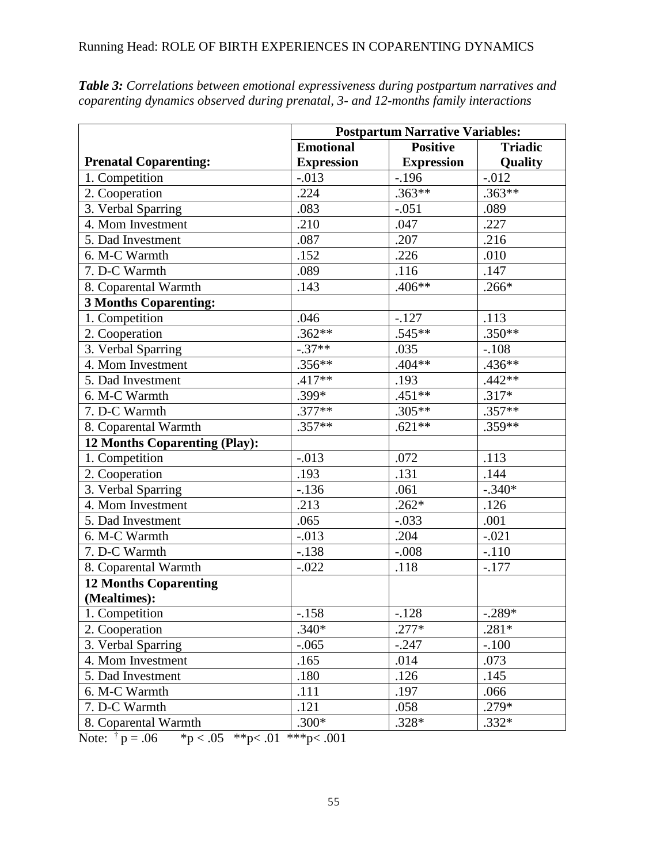|                               | <b>Postpartum Narrative Variables:</b> |                   |                |
|-------------------------------|----------------------------------------|-------------------|----------------|
|                               | <b>Emotional</b>                       | <b>Positive</b>   | <b>Triadic</b> |
| <b>Prenatal Coparenting:</b>  | <b>Expression</b>                      | <b>Expression</b> | Quality        |
| 1. Competition                | $-.013$                                | $-.196$           | $-.012$        |
| 2. Cooperation                | .224                                   | $.363**$          | $.363**$       |
| 3. Verbal Sparring            | .083                                   | $-.051$           | .089           |
| 4. Mom Investment             | .210                                   | .047              | .227           |
| 5. Dad Investment             | .087                                   | .207              | .216           |
| 6. M-C Warmth                 | .152                                   | .226              | .010           |
| 7. D-C Warmth                 | .089                                   | .116              | .147           |
| 8. Coparental Warmth          | .143                                   | $.406**$          | $.266*$        |
| <b>3 Months Coparenting:</b>  |                                        |                   |                |
| 1. Competition                | .046                                   | $-.127$           | .113           |
| 2. Cooperation                | $.362**$                               | $.545**$          | $.350**$       |
| 3. Verbal Sparring            | $-.37**$                               | .035              | $-.108$        |
| 4. Mom Investment             | $.356**$                               | .404**            | .436**         |
| 5. Dad Investment             | $.417**$                               | .193              | $.442**$       |
| 6. M-C Warmth                 | $.399*$                                | $.451**$          | $.317*$        |
| 7. D-C Warmth                 | $.377**$                               | $.305**$          | $.357**$       |
| 8. Coparental Warmth          | $.357**$                               | $.621**$          | .359**         |
| 12 Months Coparenting (Play): |                                        |                   |                |
| 1. Competition                | $-.013$                                | .072              | .113           |
| 2. Cooperation                | .193                                   | .131              | .144           |
| 3. Verbal Sparring            | $-136$                                 | .061              | $-.340*$       |
| 4. Mom Investment             | .213                                   | $.262*$           | .126           |
| 5. Dad Investment             | .065                                   | $-.033$           | .001           |
| 6. M-C Warmth                 | $-.013$                                | .204              | $-.021$        |
| 7. D-C Warmth                 | $-.138$                                | $-.008$           | $-.110$        |
| 8. Coparental Warmth          | $-.022$                                | .118              | $-177$         |
| <b>12 Months Coparenting</b>  |                                        |                   |                |
| (Mealtimes):                  |                                        |                   |                |
| 1. Competition                | $-.158$                                | $-128$            | $-.289*$       |
| 2. Cooperation                | $.340*$                                | $.277*$           | $.281*$        |
| 3. Verbal Sparring            | $-.065$                                | $-.247$           | $-.100$        |
| 4. Mom Investment             | .165                                   | .014              | .073           |
| 5. Dad Investment             | .180                                   | .126              | .145           |
| 6. M-C Warmth                 | .111                                   | .197              | .066           |
| 7. D-C Warmth                 | .121                                   | .058              | $.279*$        |
| 8. Coparental Warmth          | $.300*$                                | $.328*$           | $.332*$        |

*Table 3: Correlations between emotional expressiveness during postpartum narratives and coparenting dynamics observed during prenatal, 3- and 12-months family interactions*

Note:  $\bar{p} = .06$  \*  $\bar{p} < .05$  \*  $\bar{p} < .01$  \* \*  $\bar{p} < .001$